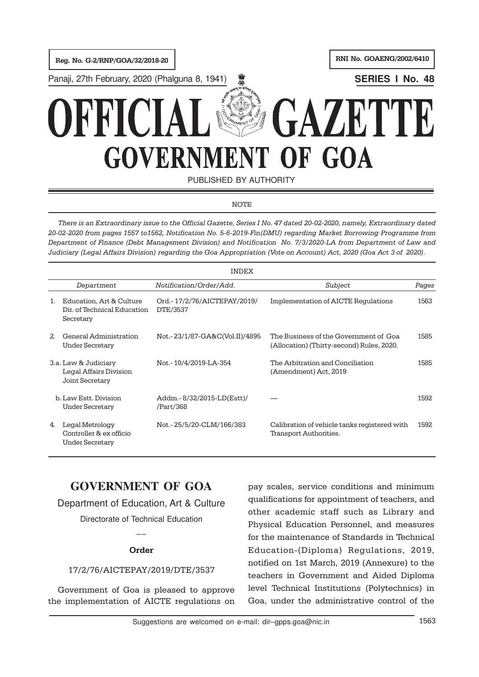

PUBLISHED BY AUTHORITY

## **NOTE**

There is an Extraordinary issue to the Official Gazette, Series I No. 47 dated 20-02-2020, namely, Extraordinary dated 20-02-2020 from pages 1557 to1562, Notification No. 5-6-2019-Fin(DMU) regarding Market Borrowing Programme from Department of Finance (Debt Management Division) and Notification No. 7/3/2020-LA from Department of Law and Judiciary (Legal Affairs Division) regarding the Goa Appropriation (Vote on Account) Act, 2020 (Goa Act 3 of 2020).

|                                                                   |                                                                      | <b>INDEX</b>                              |                                                                                    |       |
|-------------------------------------------------------------------|----------------------------------------------------------------------|-------------------------------------------|------------------------------------------------------------------------------------|-------|
|                                                                   | Department                                                           | Notification/Order/Add.                   | Subject                                                                            | Pages |
| 1.                                                                | Education, Art & Culture<br>Dir. of Technical Education<br>Secretary | Ord. - 17/2/76/AICTEPAY/2019/<br>DTE/3537 | Implementation of AICTE Regulations                                                | 1563  |
| 2 <sub>1</sub>                                                    | General Administration<br><b>Under Secretary</b>                     | Not.-23/1/87-GA&C(Vol.II)/4895            | The Business of the Government of Goa<br>(Allocation) (Thirty-second) Rules, 2020. | 1585  |
| 3.a. Law & Judiciary<br>Legal Affairs Division<br>Joint Secretary |                                                                      | Not.-10/4/2019-LA-354                     | The Arbitration and Conciliation<br>(Amendment) Act, 2019                          | 1585  |
|                                                                   | b. Law Estt. Division<br>Under Secretary                             | Addm.-8/32/2015-LD(Estt)/<br>/Part/368    |                                                                                    | 1592  |
| 4.                                                                | Legal Metrology<br>Controller & ex officio<br>Under Secretary        | Not.-25/5/20-CLM/166/383                  | Calibration of vehicle tanks registered with<br>Transport Authorities.             | 1592  |

# **GOVERNMENT OF GOA**

Department of Education, Art & Culture

Directorate of Technical Education  $\overline{a}$ 

## Order

## 17/2/76/AICTEPAY/2019/DTE/3537

Government of Goa is pleased to approve the implementation of AICTE regulations on

pay scales, service conditions and minimum qualifications for appointment of teachers, and other academic staff such as Library and Physical Education Personnel, and measures for the maintenance of Standards in Technical Education-(Diploma) Regulations, 2019, notified on 1st March, 2019 (Annexure) to the teachers in Government and Aided Diploma level Technical Institutions (Polytechnics) in Goa, under the administrative control of the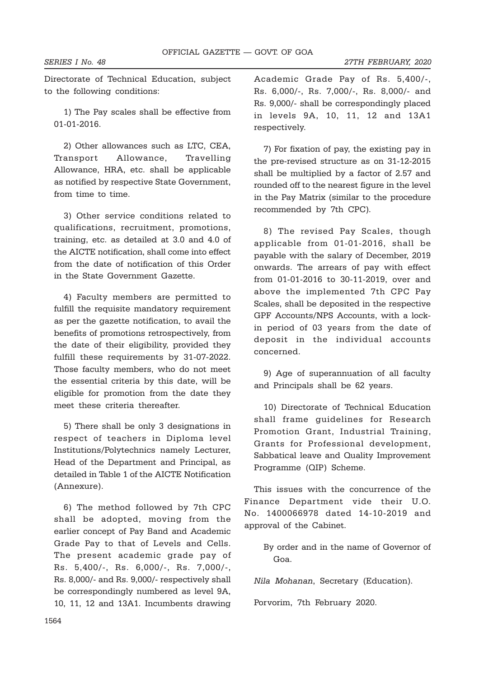SERIES I No. 48 27TH FEBRUARY, 2020

Directorate of Technical Education, subject to the following conditions:

1) The Pay scales shall be effective from 01-01-2016.

2) Other allowances such as LTC, CEA, Transport Allowance, Travelling Allowance, HRA, etc. shall be applicable as notified by respective State Government, from time to time.

3) Other service conditions related to qualifications, recruitment, promotions, training, etc. as detailed at 3.0 and 4.0 of the AICTE notification, shall come into effect from the date of notification of this Order in the State Government Gazette.

4) Faculty members are permitted to fulfill the requisite mandatory requirement as per the gazette notification, to avail the benefits of promotions retrospectively, from the date of their eligibility, provided they fulfill these requirements by 31-07-2022. Those faculty members, who do not meet the essential criteria by this date, will be eligible for promotion from the date they meet these criteria thereafter.

5) There shall be only 3 designations in respect of teachers in Diploma level Institutions/Polytechnics namely Lecturer, Head of the Department and Principal, as detailed in Table 1 of the AICTE Notification (Annexure).

6) The method followed by 7th CPC shall be adopted, moving from the earlier concept of Pay Band and Academic Grade Pay to that of Levels and Cells. The present academic grade pay of Rs. 5,400/-, Rs. 6,000/-, Rs. 7,000/-, Rs. 8,000/- and Rs. 9,000/- respectively shall be correspondingly numbered as level 9A, 10, 11, 12 and 13A1. Incumbents drawing Academic Grade Pay of Rs. 5,400/-, Rs. 6,000/-, Rs. 7,000/-, Rs. 8,000/- and Rs. 9,000/- shall be correspondingly placed in levels 9A, 10, 11, 12 and 13A1 respectively.

7) For fixation of pay, the existing pay in the pre-revised structure as on 31-12-2015 shall be multiplied by a factor of 2.57 and rounded off to the nearest figure in the level in the Pay Matrix (similar to the procedure recommended by 7th CPC).

8) The revised Pay Scales, though applicable from 01-01-2016, shall be payable with the salary of December, 2019 onwards. The arrears of pay with effect from 01-01-2016 to 30-11-2019, over and above the implemented 7th CPC Pay Scales, shall be deposited in the respective GPF Accounts/NPS Accounts, with a lockin period of 03 years from the date of deposit in the individual accounts concerned.

9) Age of superannuation of all faculty and Principals shall be 62 years.

10) Directorate of Technical Education shall frame guidelines for Research Promotion Grant, Industrial Training, Grants for Professional development, Sabbatical leave and Quality Improvement Programme (QIP) Scheme.

This issues with the concurrence of the Finance Department vide their U.O. No. 1400066978 dated 14-10-2019 and approval of the Cabinet.

> By order and in the name of Governor of Goa.

Nila Mohanan, Secretary (Education).

Porvorim, 7th February 2020.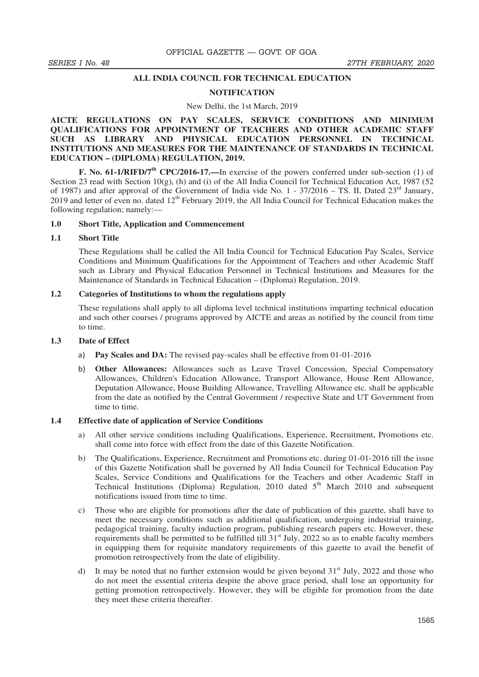## **ALL INDIA COUNCIL FOR TECHNICAL EDUCATION**

## **NOTIFICATION**

#### New Delhi, the 1st March, 2019

## **AICTE REGULATIONS ON PAY SCALES, SERVICE CONDITIONS AND MINIMUM QUALIFICATIONS FOR APPOINTMENT OF TEACHERS AND OTHER ACADEMIC STAFF SUCH AS LIBRARY AND PHYSICAL EDUCATION PERSONNEL IN TECHNICAL INSTITUTIONS AND MEASURES FOR THE MAINTENANCE OF STANDARDS IN TECHNICAL EDUCATION – (DIPLOMA) REGULATION, 2019.**

**F. No. 61-1/RIFD/7th CPC/2016-17.—**In exercise of the powers conferred under sub-section (1) of Section 23 read with Section 10(g), (h) and (i) of the All India Council for Technical Education Act, 1987 (52 of 1987) and after approval of the Government of India vide No.  $1 - 37/2016 - TS$ . II, Dated  $23<sup>rd</sup>$  January, 2019 and letter of even no. dated 12<sup>th</sup> February 2019, the All India Council for Technical Education makes the following regulation; namely:—

### **1.0 Short Title, Application and Commencement**

## **1.1 Short Title**

These Regulations shall be called the All India Council for Technical Education Pay Scales, Service Conditions and Minimum Qualifications for the Appointment of Teachers and other Academic Staff such as Library and Physical Education Personnel in Technical Institutions and Measures for the Maintenance of Standards in Technical Education – (Diploma) Regulation, 2019.

### **1.2 Categories of Institutions to whom the regulations apply**

These regulations shall apply to all diploma level technical institutions imparting technical education and such other courses / programs approved by AICTE and areas as notified by the council from time to time.

## **1.3 Date of Effect**

- **Pay Scales and DA:** The revised pay-scales shall be effective from 01-01-2016
- b) **Other Allowances:** Allowances such as Leave Travel Concession, Special Compensatory Allowances, Children's Education Allowance, Transport Allowance, House Rent Allowance, Deputation Allowance, House Building Allowance, Travelling Allowance etc. shall be applicable from the date as notified by the Central Government / respective State and UT Government from time to time.

## **1.4 Effective date of application of Service Conditions**

- a) All other service conditions including Qualifications, Experience, Recruitment, Promotions etc. shall come into force with effect from the date of this Gazette Notification.
- b) The Qualifications, Experience, Recruitment and Promotions etc. during 01-01-2016 till the issue of this Gazette Notification shall be governed by All India Council for Technical Education Pay Scales, Service Conditions and Qualifications for the Teachers and other Academic Staff in Technical Institutions (Diploma) Regulation, 2010 dated  $5<sup>th</sup>$  March 2010 and subsequent notifications issued from time to time.
- c) Those who are eligible for promotions after the date of publication of this gazette, shall have to meet the necessary conditions such as additional qualification, undergoing industrial training, pedagogical training, faculty induction program, publishing research papers etc. However, these requirements shall be permitted to be fulfilled till  $31<sup>st</sup>$  July, 2022 so as to enable faculty members in equipping them for requisite mandatory requirements of this gazette to avail the benefit of promotion retrospectively from the date of eligibility.
- d) It may be noted that no further extension would be given beyond  $31<sup>st</sup>$  July, 2022 and those who do not meet the essential criteria despite the above grace period, shall lose an opportunity for getting promotion retrospectively. However, they will be eligible for promotion from the date they meet these criteria thereafter.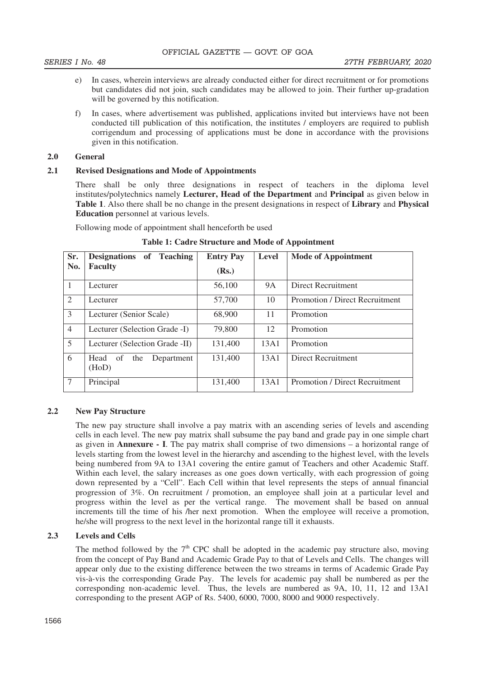- e) In cases, wherein interviews are already conducted either for direct recruitment or for promotions but candidates did not join, such candidates may be allowed to join. Their further up-gradation will be governed by this notification.
- f) In cases, where advertisement was published, applications invited but interviews have not been conducted till publication of this notification, the institutes / employers are required to publish corrigendum and processing of applications must be done in accordance with the provisions given in this notification.

## **2.0 General**

## **2.1 Revised Designations and Mode of Appointments**

There shall be only three designations in respect of teachers in the diploma level institutes/polytechnics namely **Lecturer, Head of the Department** and **Principal** as given below in **Table 1**. Also there shall be no change in the present designations in respect of **Library** and **Physical Education** personnel at various levels.

Following mode of appointment shall henceforth be used

| Sr.            | Designations of Teaching                 | <b>Entry Pay</b> | <b>Level</b> | <b>Mode of Appointment</b>     |
|----------------|------------------------------------------|------------------|--------------|--------------------------------|
| No.            | <b>Faculty</b>                           | (Rs.)            |              |                                |
| $\mathbf{1}$   | Lecturer                                 | 56,100           | <b>9A</b>    | <b>Direct Recruitment</b>      |
| 2              | Lecturer                                 | 57,700           | 10           | Promotion / Direct Recruitment |
| 3              | Lecturer (Senior Scale)                  | 68,900           | 11           | Promotion                      |
| $\overline{4}$ | Lecturer (Selection Grade -I)            | 79,800           | 12           | Promotion                      |
| 5              | Lecturer (Selection Grade -II)           | 131,400          | 13A1         | Promotion                      |
| 6              | Head<br>of<br>the<br>Department<br>(HoD) | 131,400          | 13A1         | Direct Recruitment             |
| $\overline{7}$ | Principal                                | 131,400          | 13A1         | Promotion / Direct Recruitment |

**Table 1: Cadre Structure and Mode of Appointment** 

## **2.2 New Pay Structure**

The new pay structure shall involve a pay matrix with an ascending series of levels and ascending cells in each level. The new pay matrix shall subsume the pay band and grade pay in one simple chart as given in **Annexure - I**. The pay matrix shall comprise of two dimensions – a horizontal range of levels starting from the lowest level in the hierarchy and ascending to the highest level, with the levels being numbered from 9A to 13A1 covering the entire gamut of Teachers and other Academic Staff. Within each level, the salary increases as one goes down vertically, with each progression of going down represented by a "Cell". Each Cell within that level represents the steps of annual financial progression of 3%. On recruitment / promotion, an employee shall join at a particular level and progress within the level as per the vertical range. The movement shall be based on annual increments till the time of his /her next promotion. When the employee will receive a promotion, he/she will progress to the next level in the horizontal range till it exhausts.

# **2.3 Levels and Cells**

The method followed by the  $7<sup>th</sup>$  CPC shall be adopted in the academic pay structure also, moving from the concept of Pay Band and Academic Grade Pay to that of Levels and Cells. The changes will appear only due to the existing difference between the two streams in terms of Academic Grade Pay vis-à-vis the corresponding Grade Pay. The levels for academic pay shall be numbered as per the corresponding non-academic level. Thus, the levels are numbered as 9A, 10, 11, 12 and 13A1 corresponding to the present AGP of Rs. 5400, 6000, 7000, 8000 and 9000 respectively.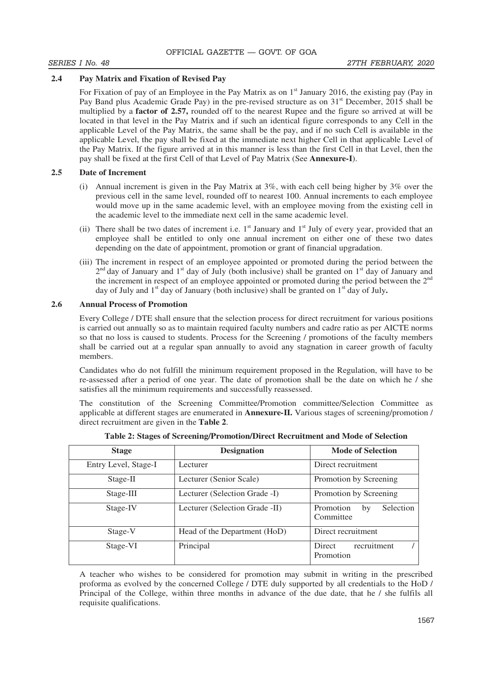## **2.4 Pay Matrix and Fixation of Revised Pay**

For Fixation of pay of an Employee in the Pay Matrix as on  $1<sup>st</sup>$  January 2016, the existing pay (Pay in Pay Band plus Academic Grade Pay) in the pre-revised structure as on 31<sup>st</sup> December, 2015 shall be multiplied by a **factor of 2.57,** rounded off to the nearest Rupee and the figure so arrived at will be located in that level in the Pay Matrix and if such an identical figure corresponds to any Cell in the applicable Level of the Pay Matrix, the same shall be the pay, and if no such Cell is available in the applicable Level, the pay shall be fixed at the immediate next higher Cell in that applicable Level of the Pay Matrix. If the figure arrived at in this manner is less than the first Cell in that Level, then the pay shall be fixed at the first Cell of that Level of Pay Matrix (See **Annexure-I**).

## **2.5 Date of Increment**

- (i) Annual increment is given in the Pay Matrix at 3%, with each cell being higher by 3% over the previous cell in the same level, rounded off to nearest 100. Annual increments to each employee would move up in the same academic level, with an employee moving from the existing cell in the academic level to the immediate next cell in the same academic level.
- (ii) There shall be two dates of increment i.e.  $1<sup>st</sup>$  January and  $1<sup>st</sup>$  July of every year, provided that an employee shall be entitled to only one annual increment on either one of these two dates depending on the date of appointment, promotion or grant of financial upgradation.
- (iii) The increment in respect of an employee appointed or promoted during the period between the 2<sup>nd</sup> day of January and 1<sup>st</sup> day of July (both inclusive) shall be granted on 1<sup>st</sup> day of January and the increment in respect of an employee appointed or promoted during the period between the  $2<sup>nd</sup>$ day of July and 1<sup>st</sup> day of January (both inclusive) shall be granted on 1<sup>st</sup> day of July.

## **2.6 Annual Process of Promotion**

Every College / DTE shall ensure that the selection process for direct recruitment for various positions is carried out annually so as to maintain required faculty numbers and cadre ratio as per AICTE norms so that no loss is caused to students. Process for the Screening / promotions of the faculty members shall be carried out at a regular span annually to avoid any stagnation in career growth of faculty members.

Candidates who do not fulfill the minimum requirement proposed in the Regulation, will have to be re-assessed after a period of one year. The date of promotion shall be the date on which he / she satisfies all the minimum requirements and successfully reassessed.

The constitution of the Screening Committee/Promotion committee/Selection Committee as applicable at different stages are enumerated in **Annexure-II.** Various stages of screening/promotion / direct recruitment are given in the **Table 2**.

| <b>Stage</b>         | <b>Designation</b>             | <b>Mode of Selection</b>                  |  |
|----------------------|--------------------------------|-------------------------------------------|--|
| Entry Level, Stage-I | Lecturer                       | Direct recruitment                        |  |
| Stage-II             | Lecturer (Senior Scale)        | Promotion by Screening                    |  |
| Stage-III            | Lecturer (Selection Grade -I)  | Promotion by Screening                    |  |
| Stage-IV             | Lecturer (Selection Grade -II) | Selection<br>Promotion<br>by<br>Committee |  |
| Stage-V              | Head of the Department (HoD)   | Direct recruitment                        |  |
| Stage-VI             | Principal                      | recruitment<br>Direct<br>Promotion        |  |

**Table 2: Stages of Screening/Promotion/Direct Recruitment and Mode of Selection** 

A teacher who wishes to be considered for promotion may submit in writing in the prescribed proforma as evolved by the concerned College / DTE duly supported by all credentials to the HoD / Principal of the College, within three months in advance of the due date, that he / she fulfils all requisite qualifications.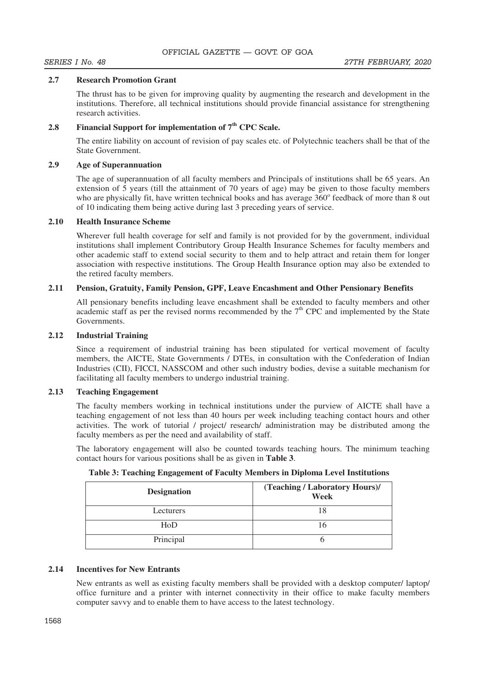## **2.7 Research Promotion Grant**

The thrust has to be given for improving quality by augmenting the research and development in the institutions. Therefore, all technical institutions should provide financial assistance for strengthening research activities.

# **2.8 Financial Support for implementation of 7th CPC Scale.**

The entire liability on account of revision of pay scales etc. of Polytechnic teachers shall be that of the State Government.

## **2.9 Age of Superannuation**

 The age of superannuation of all faculty members and Principals of institutions shall be 65 years. An extension of 5 years (till the attainment of 70 years of age) may be given to those faculty members who are physically fit, have written technical books and has average 360° feedback of more than 8 out of 10 indicating them being active during last 3 preceding years of service.

## **2.10 Health Insurance Scheme**

Wherever full health coverage for self and family is not provided for by the government, individual institutions shall implement Contributory Group Health Insurance Schemes for faculty members and other academic staff to extend social security to them and to help attract and retain them for longer association with respective institutions. The Group Health Insurance option may also be extended to the retired faculty members.

## **2.11 Pension, Gratuity, Family Pension, GPF, Leave Encashment and Other Pensionary Benefits**

All pensionary benefits including leave encashment shall be extended to faculty members and other academic staff as per the revised norms recommended by the  $7<sup>th</sup>$  CPC and implemented by the State Governments.

## **2.12 Industrial Training**

Since a requirement of industrial training has been stipulated for vertical movement of faculty members, the AICTE, State Governments / DTEs, in consultation with the Confederation of Indian Industries (CII), FICCI, NASSCOM and other such industry bodies, devise a suitable mechanism for facilitating all faculty members to undergo industrial training.

## **2.13 Teaching Engagement**

The faculty members working in technical institutions under the purview of AICTE shall have a teaching engagement of not less than 40 hours per week including teaching contact hours and other activities. The work of tutorial / project/ research/ administration may be distributed among the faculty members as per the need and availability of staff.

The laboratory engagement will also be counted towards teaching hours. The minimum teaching contact hours for various positions shall be as given in **Table 3**.

| <b>Designation</b> | (Teaching / Laboratory Hours)/<br>Week |
|--------------------|----------------------------------------|
| Lecturers          |                                        |
| HoD                | $\mathsf{\Omega}$                      |
| Principal          |                                        |

**Table 3: Teaching Engagement of Faculty Members in Diploma Level Institutions**

# **2.14 Incentives for New Entrants**

New entrants as well as existing faculty members shall be provided with a desktop computer/ laptop/ office furniture and a printer with internet connectivity in their office to make faculty members computer savvy and to enable them to have access to the latest technology.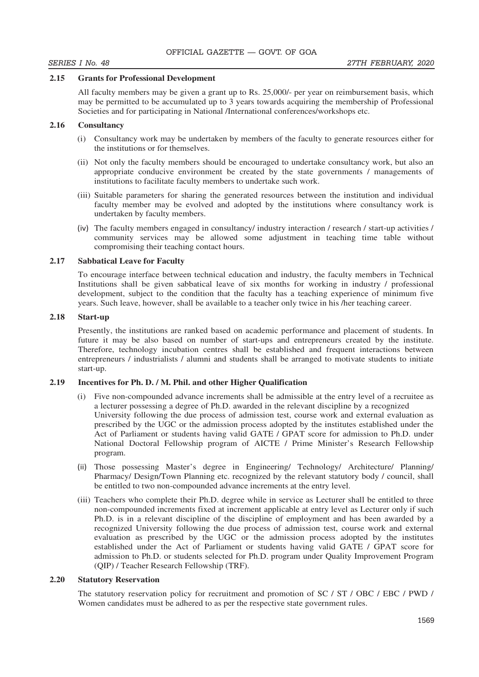## **2.15 Grants for Professional Development**

All faculty members may be given a grant up to Rs. 25,000/- per year on reimbursement basis, which may be permitted to be accumulated up to 3 years towards acquiring the membership of Professional Societies and for participating in National /International conferences/workshops etc.

## **2.16 Consultancy**

- (i) Consultancy work may be undertaken by members of the faculty to generate resources either for the institutions or for themselves.
- (ii) Not only the faculty members should be encouraged to undertake consultancy work, but also an appropriate conducive environment be created by the state governments / managements of institutions to facilitate faculty members to undertake such work.
- (iii) Suitable parameters for sharing the generated resources between the institution and individual faculty member may be evolved and adopted by the institutions where consultancy work is undertaken by faculty members.
- The faculty members engaged in consultancy/ industry interaction / research / start-up activities / community services may be allowed some adjustment in teaching time table without compromising their teaching contact hours.

## **2.17 Sabbatical Leave for Faculty**

To encourage interface between technical education and industry, the faculty members in Technical Institutions shall be given sabbatical leave of six months for working in industry / professional development, subject to the condition that the faculty has a teaching experience of minimum five years. Such leave, however, shall be available to a teacher only twice in his /her teaching career.

## **2.18 Start-up**

Presently, the institutions are ranked based on academic performance and placement of students. In future it may be also based on number of start-ups and entrepreneurs created by the institute. Therefore, technology incubation centres shall be established and frequent interactions between entrepreneurs / industrialists / alumni and students shall be arranged to motivate students to initiate start-up.

## **2.19 Incentives for Ph. D. / M. Phil. and other Higher Qualification**

- (i) Five non-compounded advance increments shall be admissible at the entry level of a recruitee as a lecturer possessing a degree of Ph.D. awarded in the relevant discipline by a recognized University following the due process of admission test, course work and external evaluation as prescribed by the UGC or the admission process adopted by the institutes established under the Act of Parliament or students having valid GATE / GPAT score for admission to Ph.D. under National Doctoral Fellowship program of AICTE / Prime Minister's Research Fellowship program.
- Those possessing Master's degree in Engineering/ Technology/ Architecture/ Planning/ Pharmacy/ Design/Town Planning etc. recognized by the relevant statutory body / council, shall be entitled to two non-compounded advance increments at the entry level.
- (iii) Teachers who complete their Ph.D. degree while in service as Lecturer shall be entitled to three non-compounded increments fixed at increment applicable at entry level as Lecturer only if such Ph.D. is in a relevant discipline of the discipline of employment and has been awarded by a recognized University following the due process of admission test, course work and external evaluation as prescribed by the UGC or the admission process adopted by the institutes established under the Act of Parliament or students having valid GATE / GPAT score for admission to Ph.D. or students selected for Ph.D. program under Quality Improvement Program (QIP) / Teacher Research Fellowship (TRF).

### **2.20 Statutory Reservation**

The statutory reservation policy for recruitment and promotion of SC / ST / OBC / EBC / PWD / Women candidates must be adhered to as per the respective state government rules.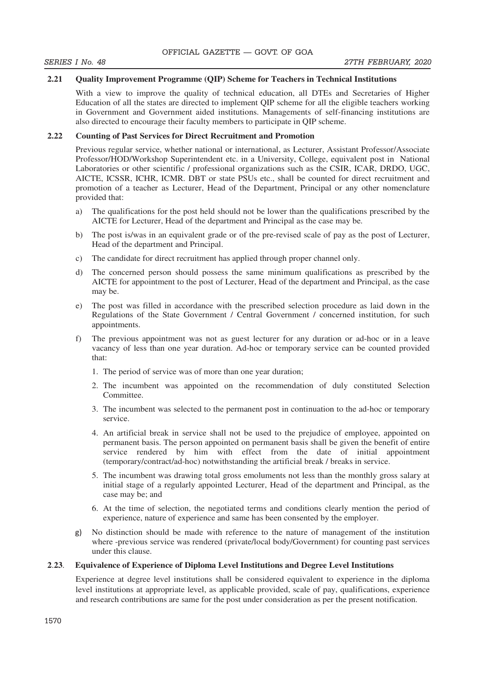## **2.21 Quality Improvement Programme (QIP) Scheme for Teachers in Technical Institutions**

With a view to improve the quality of technical education, all DTEs and Secretaries of Higher Education of all the states are directed to implement QIP scheme for all the eligible teachers working in Government and Government aided institutions. Managements of self-financing institutions are also directed to encourage their faculty members to participate in QIP scheme.

## **2.22 Counting of Past Services for Direct Recruitment and Promotion**

Previous regular service, whether national or international, as Lecturer, Assistant Professor/Associate Professor/HOD/Workshop Superintendent etc. in a University, College, equivalent post in National Laboratories or other scientific / professional organizations such as the CSIR, ICAR, DRDO, UGC, AICTE, ICSSR, ICHR, ICMR. DBT or state PSUs etc., shall be counted for direct recruitment and promotion of a teacher as Lecturer, Head of the Department, Principal or any other nomenclature provided that:

- a) The qualifications for the post held should not be lower than the qualifications prescribed by the AICTE for Lecturer, Head of the department and Principal as the case may be.
- b) The post is/was in an equivalent grade or of the pre-revised scale of pay as the post of Lecturer, Head of the department and Principal.
- c) The candidate for direct recruitment has applied through proper channel only.
- d) The concerned person should possess the same minimum qualifications as prescribed by the AICTE for appointment to the post of Lecturer, Head of the department and Principal, as the case may be.
- e) The post was filled in accordance with the prescribed selection procedure as laid down in the Regulations of the State Government / Central Government / concerned institution, for such appointments.
- f) The previous appointment was not as guest lecturer for any duration or ad-hoc or in a leave vacancy of less than one year duration. Ad-hoc or temporary service can be counted provided that:
	- 1. The period of service was of more than one year duration;
	- 2. The incumbent was appointed on the recommendation of duly constituted Selection Committee.
	- 3. The incumbent was selected to the permanent post in continuation to the ad-hoc or temporary service.
	- 4. An artificial break in service shall not be used to the prejudice of employee, appointed on permanent basis. The person appointed on permanent basis shall be given the benefit of entire service rendered by him with effect from the date of initial appointment (temporary/contract/ad-hoc) notwithstanding the artificial break / breaks in service.
	- 5. The incumbent was drawing total gross emoluments not less than the monthly gross salary at initial stage of a regularly appointed Lecturer, Head of the department and Principal, as the case may be; and
	- 6. At the time of selection, the negotiated terms and conditions clearly mention the period of experience, nature of experience and same has been consented by the employer.
- g) No distinction should be made with reference to the nature of management of the institution where -previous service was rendered (private/local body/Government) for counting past services under this clause.

## **2**.**23**. **Equivalence of Experience of Diploma Level Institutions and Degree Level Institutions**

Experience at degree level institutions shall be considered equivalent to experience in the diploma level institutions at appropriate level, as applicable provided, scale of pay, qualifications, experience and research contributions are same for the post under consideration as per the present notification.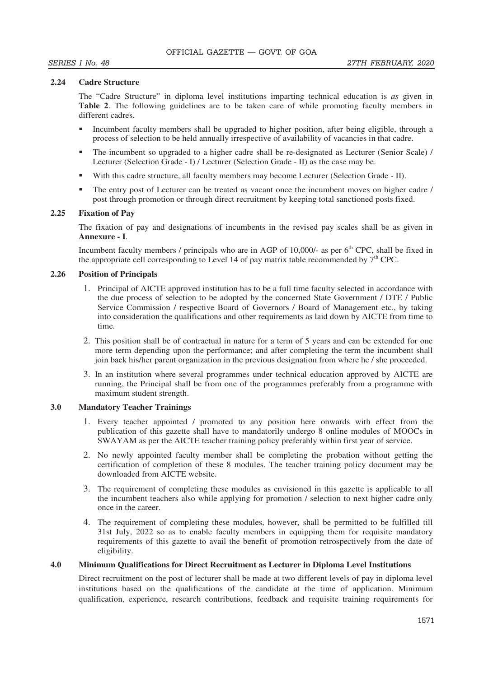## **2.24 Cadre Structure**

The "Cadre Structure" in diploma level institutions imparting technical education is *as* given in **Table 2**. The following guidelines are to be taken care of while promoting faculty members in different cadres.

- Incumbent faculty members shall be upgraded to higher position, after being eligible, through a process of selection to be held annually irrespective of availability of vacancies in that cadre.
- The incumbent so upgraded to a higher cadre shall be re-designated as Lecturer (Senior Scale) / Lecturer (Selection Grade - I) / Lecturer (Selection Grade - II) as the case may be.
- With this cadre structure, all faculty members may become Lecturer (Selection Grade II).
- The entry post of Lecturer can be treated as vacant once the incumbent moves on higher cadre / post through promotion or through direct recruitment by keeping total sanctioned posts fixed.

## **2.25 Fixation of Pay**

The fixation of pay and designations of incumbents in the revised pay scales shall be as given in **Annexure - I**.

Incumbent faculty members / principals who are in AGP of 10,000/- as per  $6<sup>th</sup>$  CPC, shall be fixed in the appropriate cell corresponding to Level 14 of pay matrix table recommended by  $7<sup>th</sup>$  CPC.

## **2.26 Position of Principals**

- 1. Principal of AICTE approved institution has to be a full time faculty selected in accordance with the due process of selection to be adopted by the concerned State Government / DTE / Public Service Commission / respective Board of Governors / Board of Management etc., by taking into consideration the qualifications and other requirements as laid down by AICTE from time to time.
- 2. This position shall be of contractual in nature for a term of 5 years and can be extended for one more term depending upon the performance; and after completing the term the incumbent shall join back his/her parent organization in the previous designation from where he / she proceeded.
- 3. In an institution where several programmes under technical education approved by AICTE are running, the Principal shall be from one of the programmes preferably from a programme with maximum student strength.

## **3.0 Mandatory Teacher Trainings**

- 1. Every teacher appointed / promoted to any position here onwards with effect from the publication of this gazette shall have to mandatorily undergo 8 online modules of MOOCs in SWAYAM as per the AICTE teacher training policy preferably within first year of service.
- 2. No newly appointed faculty member shall be completing the probation without getting the certification of completion of these 8 modules. The teacher training policy document may be downloaded from AICTE website.
- 3. The requirement of completing these modules as envisioned in this gazette is applicable to all the incumbent teachers also while applying for promotion / selection to next higher cadre only once in the career.
- 4. The requirement of completing these modules, however, shall be permitted to be fulfilled till 31st July, 2022 so as to enable faculty members in equipping them for requisite mandatory requirements of this gazette to avail the benefit of promotion retrospectively from the date of eligibility.

## **4.0 Minimum Qualifications for Direct Recruitment as Lecturer in Diploma Level Institutions**

Direct recruitment on the post of lecturer shall be made at two different levels of pay in diploma level institutions based on the qualifications of the candidate at the time of application. Minimum qualification, experience, research contributions, feedback and requisite training requirements for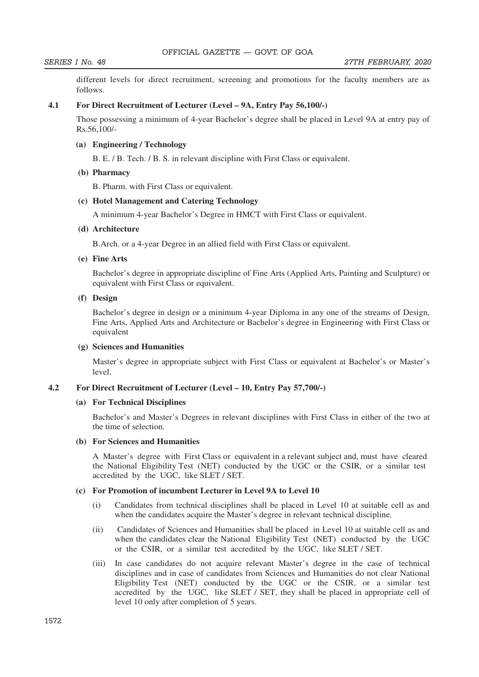different levels for direct recruitment, screening and promotions for the faculty members are as follows.

### **4.1 For Direct Recruitment of Lecturer (Level – 9A, Entry Pay 56,100/-)**

Those possessing a minimum of 4-year Bachelor's degree shall be placed in Level 9A at entry pay of Rs.56,100/-

## **(a) Engineering / Technology**

B. E. / B. Tech. / B. S. in relevant discipline with First Class or equivalent.

## **(b) Pharmacy**

B. Pharm. with First Class or equivalent.

## **(c) Hotel Management and Catering Technology**

A minimum 4-year Bachelor's Degree in HMCT with First Class or equivalent.

#### **(d) Architecture**

B.Arch. or a 4-year Degree in an allied field with First Class or equivalent.

## **(e) Fine Arts**

 Bachelor's degree in appropriate discipline of Fine Arts (Applied Arts, Painting and Sculpture) or equivalent with First Class or equivalent.

## **(f) Design**

 Bachelor's degree in design or a minimum 4-year Diploma in any one of the streams of Design, Fine Arts, Applied Arts and Architecture or Bachelor's degree in Engineering with First Class or equivalent

### **(g) Sciences and Humanities**

 Master's degree in appropriate subject with First Class or equivalent at Bachelor's or Master's level.

#### **4.2 For Direct Recruitment of Lecturer (Level – 10, Entry Pay 57,700/-)**

## **(a) For Technical Disciplines**

 Bachelor's and Master's Degrees in relevant disciplines with First Class in either of the two at the time of selection.

## **(b) For Sciences and Humanities**

 A Master's degree with First Class or equivalent in a relevant subject and, must have cleared the National Eligibility Test (NET) conducted by the UGC or the CSIR, or a similar test accredited by the UGC, like SLET / SET.

## **(c) For Promotion of incumbent Lecturer in Level 9A to Level 10**

- (i) Candidates from technical disciplines shall be placed in Level 10 at suitable cell as and when the candidates acquire the Master's degree in relevant technical discipline.
- (ii) Candidates of Sciences and Humanities shall be placed in Level 10 at suitable cell as and when the candidates clear the National Eligibility Test (NET) conducted by the UGC or the CSIR, or a similar test accredited by the UGC, like SLET / SET.
- (iii) In case candidates do not acquire relevant Master's degree in the case of technical disciplines and in case of candidates from Sciences and Humanities do not clear National Eligibility Test (NET) conducted by the UGC or the CSIR, or a similar test accredited by the UGC, like SLET / SET, they shall be placed in appropriate cell of level 10 only after completion of 5 years.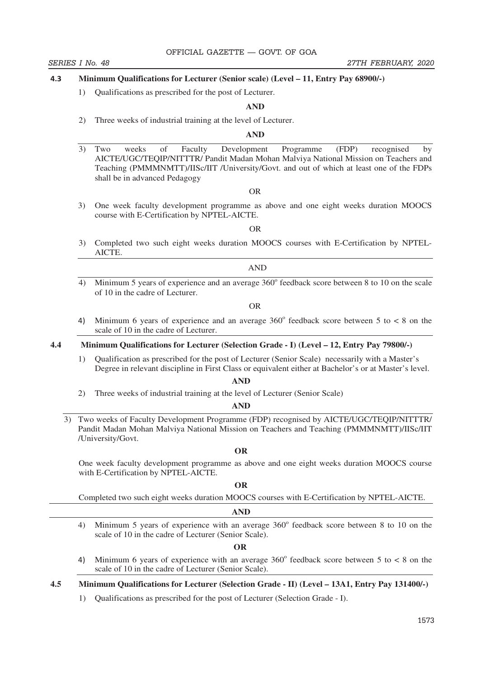#### $4.3$  **Minimum Qualifications for Lecturer (Senior scale) (Level – 11, Entry Pay 68900/-)**

1) Qualifications as prescribed for the post of Lecturer.

#### **AND**

2) Three weeks of industrial training at the level of Lecturer.

### **AND**

3) Two weeks of Faculty Development Programme (FDP) recognised by AICTE/UGC/TEQIP/NITTTR/ Pandit Madan Mohan Malviya National Mission on Teachers and Teaching (PMMMNMTT)/IISc/IIT /University/Govt. and out of which at least one of the FDPs shall be in advanced Pedagogy

OR

3) One week faculty development programme as above and one eight weeks duration MOOCS course with E-Certification by NPTEL-AICTE.

OR

3) Completed two such eight weeks duration MOOCS courses with E-Certification by NPTEL-AICTE.

AND

4) Minimum 5 years of experience and an average  $360^\circ$  feedback score between 8 to 10 on the scale of 10 in the cadre of Lecturer.

OR

 $4)$ Minimum 6 years of experience and an average  $360^{\circ}$  feedback score between 5 to < 8 on the scale of 10 in the cadre of Lecturer.

#### **4.4 Minimum Qualifications for Lecturer (Selection Grade - I) (Level – 12, Entry Pay 79800/-)**

1) Qualification as prescribed for the post of Lecturer (Senior Scale) necessarily with a Master's Degree in relevant discipline in First Class or equivalent either at Bachelor's or at Master's level.

**AND** 

2) Three weeks of industrial training at the level of Lecturer (Senior Scale)

#### **AND**

3) Two weeks of Faculty Development Programme (FDP) recognised by AICTE/UGC/TEQIP/NITTTR/ Pandit Madan Mohan Malviya National Mission on Teachers and Teaching (PMMMNMTT)/IISc/IIT /University/Govt.

#### **OR**

One week faculty development programme as above and one eight weeks duration MOOCS course with E-Certification by NPTEL-AICTE.

#### **OR**

Completed two such eight weeks duration MOOCS courses with E-Certification by NPTEL -AICTE.

#### **AND**

4) Minimum 5 years of experience with an average  $360^\circ$  feedback score between 8 to 10 on the scale of 10 in the cadre of Lecturer (Senior Scale).

 **OR** 

 $4)$ Minimum 6 years of experience with an average  $360^{\circ}$  feedback score between 5 to < 8 on the scale of 10 in the cadre of Lecturer (Senior Scale).

**4.5 Minimum Qualifications for Lecturer (Selection Grade - II) (Level – 13A1, Entry Pay 131400/-)**

1) Qualifications as prescribed for the post of Lecturer (Selection Grade - I).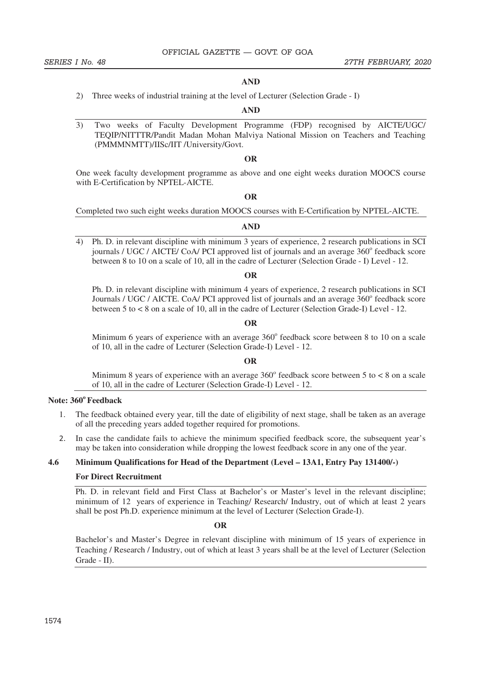### **AND**

2) Three weeks of industrial training at the level of Lecturer (Selection Grade - I)

#### **AND**

3) Two weeks of Faculty Development Programme (FDP) recognised by AICTE/UGC/ TEQIP/NITTTR/Pandit Madan Mohan Malviya National Mission on Teachers and Teaching (PMMMNMTT)/IISc/IIT /University/Govt.

## **OR**

One week faculty development programme as above and one eight weeks duration MOOCS course with E-Certification by NPTEL-AICTE.

## **OR**

Completed two such eight weeks duration MOOCS courses with E-Certification by NPTEL -AICTE.

#### **AND**

4) Ph. D. in relevant discipline with minimum 3 years of experience, 2 research publications in SCI journals / UGC / AICTE/ CoA/ PCI approved list of journals and an average 360° feedback score between 8 to 10 on a scale of 10, all in the cadre of Lecturer (Selection Grade - I) Level - 12.

#### **OR**

 Ph. D. in relevant discipline with minimum 4 years of experience, 2 research publications in SCI Journals / UGC / AICTE. CoA/ PCI approved list of journals and an average 360° feedback score between 5 to < 8 on a scale of 10, all in the cadre of Lecturer (Selection Grade-I) Level - 12.

## **OR**

Minimum 6 years of experience with an average  $360^{\circ}$  feedback score between 8 to 10 on a scale of 10, all in the cadre of Lecturer (Selection Grade-I) Level - 12.

#### **OR**

Minimum 8 years of experience with an average  $360^{\circ}$  feedback score between 5 to < 8 on a scale of 10, all in the cadre of Lecturer (Selection Grade-I) Level - 12.

## **Note: 360<sup>o</sup>Feedback**

- 1. The feedback obtained every year, till the date of eligibility of next stage, shall be taken as an average of all the preceding years added together required for promotions.
- In case the candidate fails to achieve the minimum specified feedback score, the subsequent year's may be taken into consideration while dropping the lowest feedback score in any one of the year.

## **4.6 Minimum Qualifications for Head of the Department (Level – 13A1, Entry Pay 131400/-)**

#### **For Direct Recruitment**

Ph. D. in relevant field and First Class at Bachelor's or Master's level in the relevant discipline; minimum of 12 years of experience in Teaching/ Research/ Industry, out of which at least 2 years shall be post Ph.D. experience minimum at the level of Lecturer (Selection Grade-I).

#### **OR**

Bachelor's and Master's Degree in relevant discipline with minimum of 15 years of experience in Teaching / Research / Industry, out of which at least 3 years shall be at the level of Lecturer (Selection Grade - II).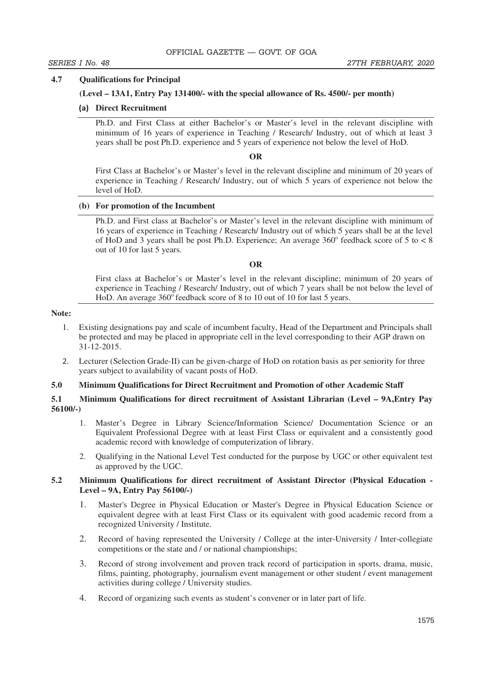## **4.7 Qualifications for Principal**

## **(Level – 13A1, Entry Pay 131400/- with the special allowance of Rs. 4500/- per month)**

## **Direct Recruitment**

 Ph.D. and First Class at either Bachelor's or Master's level in the relevant discipline with minimum of 16 years of experience in Teaching / Research/ Industry, out of which at least 3 years shall be post Ph.D. experience and 5 years of experience not below the level of HoD.

## **OR**

 First Class at Bachelor's or Master's level in the relevant discipline and minimum of 20 years of experience in Teaching / Research/ Industry, out of which 5 years of experience not below the level of HoD.

## **(b) For promotion of the Incumbent**

 Ph.D. and First class at Bachelor's or Master's level in the relevant discipline with minimum of 16 years of experience in Teaching / Research/ Industry out of which 5 years shall be at the level of HoD and 3 years shall be post Ph.D. Experience; An average  $360^\circ$  feedback score of 5 to < 8 out of 10 for last 5 years.

## **OR**

 First class at Bachelor's or Master's level in the relevant discipline; minimum of 20 years of experience in Teaching / Research/ Industry, out of which 7 years shall be not below the level of HoD. An average  $360^{\circ}$  feedback score of 8 to 10 out of 10 for last 5 years.

## **Note:**

- 1. Existing designations pay and scale of incumbent faculty, Head of the Department and Principals shall be protected and may be placed in appropriate cell in the level corresponding to their AGP drawn on 31-12-2015.
- Lecturer (Selection Grade-II) can be given-charge of HoD on rotation basis as per seniority for three years subject to availability of vacant posts of HoD.

# **5.0 Minimum Qualifications for Direct Recruitment and Promotion of other Academic Staff**

## **5.1 Minimum Qualifications for direct recruitment of Assistant Librarian (Level – 9A,Entry Pay 56100/-)**

- 1. Master's Degree in Library Science/Information Science/ Documentation Science or an Equivalent Professional Degree with at least First Class or equivalent and a consistently good academic record with knowledge of computerization of library.
- 2. Qualifying in the National Level Test conducted for the purpose by UGC or other equivalent test as approved by the UGC.

## **5.2 Minimum Qualifications for direct recruitment of Assistant Director (Physical Education - Level – 9A, Entry Pay 56100/-)**

- 1. Master's Degree in Physical Education or Master's Degree in Physical Education Science or equivalent degree with at least First Class or its equivalent with good academic record from a recognized University / Institute.
- 2. Record of having represented the University / College at the inter-University / Inter-collegiate competitions or the state and / or national championships;
- 3. Record of strong involvement and proven track record of participation in sports, drama, music, films, painting, photography, journalism event management or other student / event management activities during college / University studies.
- 4. Record of organizing such events as student's convener or in later part of life.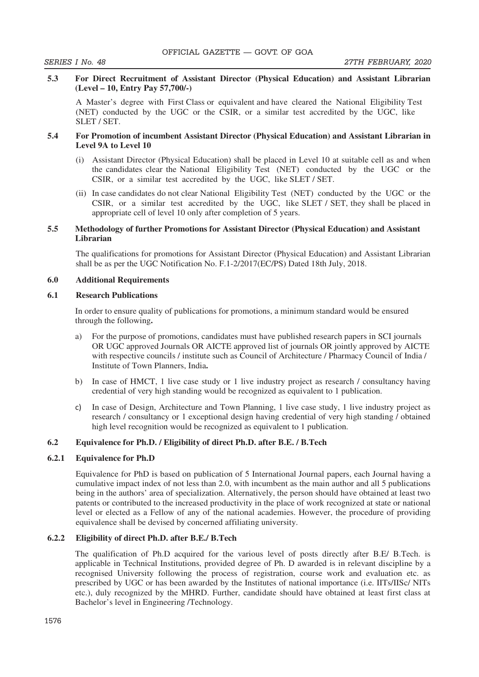## **5.3 For Direct Recruitment of Assistant Director (Physical Education) and Assistant Librarian (Level – 10, Entry Pay 57,700/-)**

A Master's degree with First Class or equivalent and have cleared the National Eligibility Test (NET) conducted by the UGC or the CSIR, or a similar test accredited by the UGC, like SLET / SET.

## **5.4 For Promotion of incumbent Assistant Director (Physical Education) and Assistant Librarian in Level 9A to Level 10**

- (i) Assistant Director (Physical Education) shall be placed in Level 10 at suitable cell as and when the candidates clear the National Eligibility Test (NET) conducted by the UGC or the CSIR, or a similar test accredited by the UGC, like SLET / SET.
- (ii) In case candidates do not clear National Eligibility Test (NET) conducted by the UGC or the CSIR, or a similar test accredited by the UGC, like SLET / SET, they shall be placed in appropriate cell of level 10 only after completion of 5 years.

## **5.5 Methodology of further Promotions for Assistant Director (Physical Education) and Assistant Librarian**

The qualifications for promotions for Assistant Director (Physical Education) and Assistant Librarian shall be as per the UGC Notification No. F.1-2/2017(EC/PS) Dated 18th July, 2018.

## **6.0 Additional Requirements**

## **6.1 Research Publications**

In order to ensure quality of publications for promotions, a minimum standard would be ensured through the following**.**

- a) For the purpose of promotions, candidates must have published research papers in SCI journals OR UGC approved Journals OR AICTE approved list of journals OR jointly approved by AICTE with respective councils / institute such as Council of Architecture / Pharmacy Council of India / Institute of Town Planners, India**.**
- b) In case of HMCT, 1 live case study or 1 live industry project as research / consultancy having credential of very high standing would be recognized as equivalent to 1 publication.
- $\mathsf{c}$  In case of Design, Architecture and Town Planning, 1 live case study, 1 live industry project as research / consultancy or 1 exceptional design having credential of very high standing / obtained high level recognition would be recognized as equivalent to 1 publication.

## **6.2 Equivalence for Ph.D. / Eligibility of direct Ph.D. after B.E. / B.Tech**

#### **6.2.1 Equivalence for Ph.D**

Equivalence for PhD is based on publication of 5 International Journal papers, each Journal having a cumulative impact index of not less than 2.0, with incumbent as the main author and all 5 publications being in the authors' area of specialization. Alternatively, the person should have obtained at least two patents or contributed to the increased productivity in the place of work recognized at state or national level or elected as a Fellow of any of the national academies. However, the procedure of providing equivalence shall be devised by concerned affiliating university.

## **6.2.2 Eligibility of direct Ph.D. after B.E./ B.Tech**

The qualification of Ph.D acquired for the various level of posts directly after B.E/ B.Tech. is applicable in Technical Institutions, provided degree of Ph. D awarded is in relevant discipline by a recognised University following the process of registration, course work and evaluation etc. as prescribed by UGC or has been awarded by the Institutes of national importance (i.e. IITs/IISc/ NITs etc.), duly recognized by the MHRD. Further, candidate should have obtained at least first class at Bachelor's level in Engineering /Technology.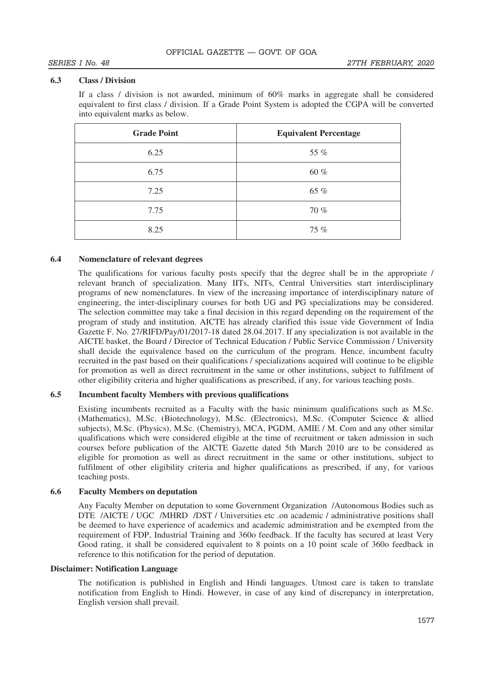## **6.3 Class / Division**

If a class / division is not awarded, minimum of 60% marks in aggregate shall be considered equivalent to first class / division. If a Grade Point System is adopted the CGPA will be converted into equivalent marks as below.

| <b>Grade Point</b> | <b>Equivalent Percentage</b> |
|--------------------|------------------------------|
| 6.25               | 55 %                         |
| 6.75               | 60 %                         |
| 7.25               | 65 %                         |
| 7.75               | 70 %                         |
| 8.25               | 75 %                         |

## **6.4 Nomenclature of relevant degrees**

The qualifications for various faculty posts specify that the degree shall be in the appropriate / relevant branch of specialization. Many IITs, NITs, Central Universities start interdisciplinary programs of new nomenclatures. In view of the increasing importance of interdisciplinary nature of engineering, the inter-disciplinary courses for both UG and PG specializations may be considered. The selection committee may take a final decision in this regard depending on the requirement of the program of study and institution. AICTE has already clarified this issue vide Government of India Gazette F. No. 27/RIFD/Pay/01/2017-18 dated 28.04.2017. If any specialization is not available in the AICTE basket, the Board / Director of Technical Education / Public Service Commission / University shall decide the equivalence based on the curriculum of the program. Hence, incumbent faculty recruited in the past based on their qualifications / specializations acquired will continue to be eligible for promotion as well as direct recruitment in the same or other institutions, subject to fulfilment of other eligibility criteria and higher qualifications as prescribed, if any, for various teaching posts.

## **6.5 Incumbent faculty Members with previous qualifications**

Existing incumbents recruited as a Faculty with the basic minimum qualifications such as M.Sc. (Mathematics), M.Sc. (Biotechnology), M.Sc. (Electronics), M.Sc. (Computer Science & allied subjects), M.Sc. (Physics), M.Sc. (Chemistry), MCA, PGDM, AMIE / M. Com and any other similar qualifications which were considered eligible at the time of recruitment or taken admission in such courses before publication of the AICTE Gazette dated 5th March 2010 are to be considered as eligible for promotion as well as direct recruitment in the same or other institutions, subject to fulfilment of other eligibility criteria and higher qualifications as prescribed, if any, for various teaching posts.

## **6.6 Faculty Members on deputation**

Any Faculty Member on deputation to some Government Organization /Autonomous Bodies such as DTE /AICTE / UGC /MHRD /DST / Universities etc .on academic / administrative positions shall be deemed to have experience of academics and academic administration and be exempted from the requirement of FDP, Industrial Training and 360o feedback. If the faculty has secured at least Very Good rating, it shall be considered equivalent to 8 points on a 10 point scale of 360o feedback in reference to this notification for the period of deputation.

## **Disclaimer: Notification Language**

The notification is published in English and Hindi languages. Utmost care is taken to translate notification from English to Hindi. However, in case of any kind of discrepancy in interpretation, English version shall prevail.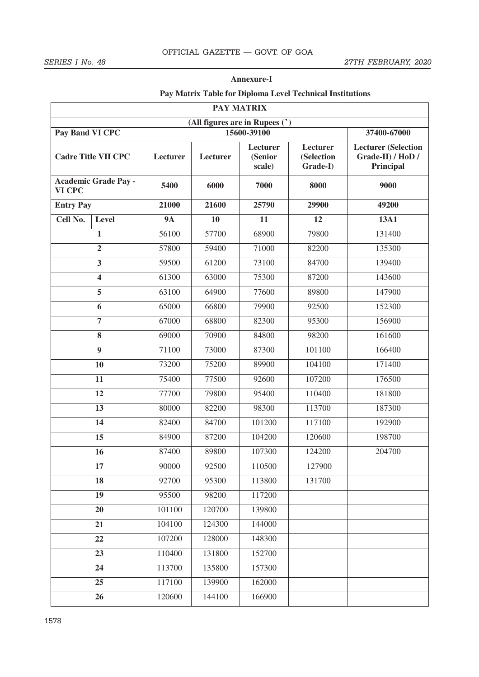## **Annexure-I**

# **Pay Matrix Table for Diploma Level Technical Institutions**

| <b>PAY MATRIX</b> |                                |             |          |                                      |                                    |                                                              |  |  |  |
|-------------------|--------------------------------|-------------|----------|--------------------------------------|------------------------------------|--------------------------------------------------------------|--|--|--|
|                   | (All figures are in Rupees (') |             |          |                                      |                                    |                                                              |  |  |  |
| Pay Band VI CPC   |                                | 15600-39100 |          |                                      | 37400-67000                        |                                                              |  |  |  |
|                   | <b>Cadre Title VII CPC</b>     | Lecturer    | Lecturer | <b>Lecturer</b><br>(Senior<br>scale) | Lecturer<br>(Selection<br>Grade-I) | <b>Lecturer</b> (Selection<br>Grade-II) / HoD /<br>Principal |  |  |  |
| VI CPC            | <b>Academic Grade Pay -</b>    | 5400        | 6000     | 7000                                 | 8000                               | 9000                                                         |  |  |  |
| <b>Entry Pay</b>  |                                | 21000       | 21600    | 25790                                | 29900                              | 49200                                                        |  |  |  |
| Cell No.          | Level                          | <b>9A</b>   | 10       | 11                                   | 12                                 | <b>13A1</b>                                                  |  |  |  |
|                   | 1                              | 56100       | 57700    | 68900                                | 79800                              | 131400                                                       |  |  |  |
|                   | $\overline{2}$                 | 57800       | 59400    | 71000                                | 82200                              | 135300                                                       |  |  |  |
|                   | 3                              | 59500       | 61200    | 73100                                | 84700                              | 139400                                                       |  |  |  |
|                   | $\overline{\mathbf{4}}$        | 61300       | 63000    | 75300                                | 87200                              | 143600                                                       |  |  |  |
|                   | 5                              | 63100       | 64900    | 77600                                | 89800                              | 147900                                                       |  |  |  |
|                   | 6                              | 65000       | 66800    | 79900                                | 92500                              | 152300                                                       |  |  |  |
|                   | 7                              |             | 68800    | 82300                                | 95300                              | 156900                                                       |  |  |  |
| 8                 |                                | 69000       | 70900    | 84800                                | 98200                              | 161600                                                       |  |  |  |
| $\boldsymbol{9}$  |                                | 71100       | 73000    | 87300                                | 101100                             | 166400                                                       |  |  |  |
| 10                |                                | 73200       | 75200    | 89900                                | 104100                             | 171400                                                       |  |  |  |
|                   | 11                             | 75400       | 77500    | 92600                                | 107200                             | 176500                                                       |  |  |  |
|                   | 12                             | 77700       | 79800    | 95400                                | 110400                             | 181800                                                       |  |  |  |
|                   | 13                             | 80000       | 82200    | 98300                                | 113700                             | 187300                                                       |  |  |  |
|                   | 14                             | 82400       | 84700    | 101200                               | 117100                             | 192900                                                       |  |  |  |
|                   | 15                             | 84900       | 87200    | 104200                               | 120600                             | 198700                                                       |  |  |  |
|                   | 16                             | 87400       | 89800    | 107300                               | 124200                             | 204700                                                       |  |  |  |
|                   | 17                             | 90000       | 92500    | 110500                               | 127900                             |                                                              |  |  |  |
|                   | 18                             | 92700       | 95300    | 113800                               | 131700                             |                                                              |  |  |  |
|                   | 19                             | 95500       | 98200    | 117200                               |                                    |                                                              |  |  |  |
|                   | 20                             | 101100      | 120700   | 139800                               |                                    |                                                              |  |  |  |
|                   | 21                             | 104100      | 124300   | 144000                               |                                    |                                                              |  |  |  |
| 22                |                                | 107200      | 128000   | 148300                               |                                    |                                                              |  |  |  |
| 23                |                                | 110400      | 131800   | 152700                               |                                    |                                                              |  |  |  |
|                   | 24                             | 113700      | 135800   | 157300                               |                                    |                                                              |  |  |  |
|                   | 25                             | 117100      | 139900   | 162000                               |                                    |                                                              |  |  |  |
|                   | 26                             |             | 144100   | 166900                               |                                    |                                                              |  |  |  |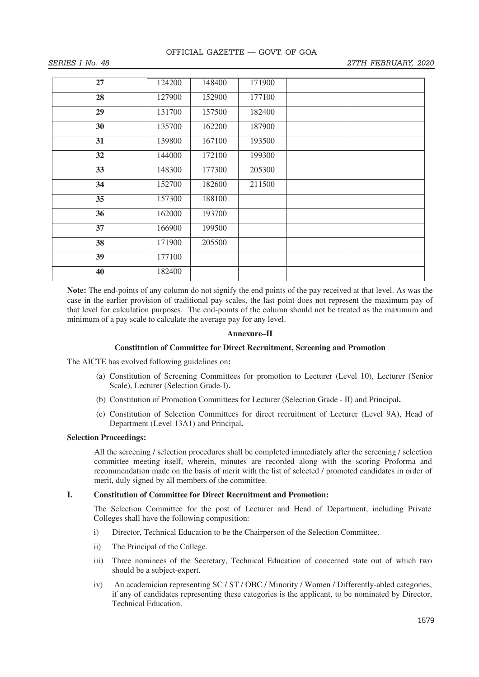| 27 | 124200 | 148400 | 171900 |  |
|----|--------|--------|--------|--|
| 28 | 127900 | 152900 | 177100 |  |
| 29 | 131700 | 157500 | 182400 |  |
| 30 | 135700 | 162200 | 187900 |  |
| 31 | 139800 | 167100 | 193500 |  |
| 32 | 144000 | 172100 | 199300 |  |
| 33 | 148300 | 177300 | 205300 |  |
| 34 | 152700 | 182600 | 211500 |  |
| 35 | 157300 | 188100 |        |  |
| 36 | 162000 | 193700 |        |  |
| 37 | 166900 | 199500 |        |  |
| 38 | 171900 | 205500 |        |  |
| 39 | 177100 |        |        |  |
| 40 | 182400 |        |        |  |

**Note:** The end-points of any column do not signify the end points of the pay received at that level. As was the case in the earlier provision of traditional pay scales, the last point does not represent the maximum pay of that level for calculation purposes. The end-points of the column should not be treated as the maximum and minimum of a pay scale to calculate the average pay for any level.

## **Annexure–II**

### **Constitution of Committee for Direct Recruitment, Screening and Promotion**

The AICTE has evolved following guidelines on**:**

- (a) Constitution of Screening Committees for promotion to Lecturer (Level 10), Lecturer (Senior Scale), Lecturer (Selection Grade-I)**.**
- (b) Constitution of Promotion Committees for Lecturer (Selection Grade II) and Principal**.**
- (c) Constitution of Selection Committees for direct recruitment of Lecturer (Level 9A), Head of Department (Level 13A1) and Principal**.**

## **Selection Proceedings:**

All the screening / selection procedures shall be completed immediately after the screening / selection committee meeting itself, wherein, minutes are recorded along with the scoring Proforma and recommendation made on the basis of merit with the list of selected / promoted candidates in order of merit, duly signed by all members of the committee.

## **I. Constitution of Committee for Direct Recruitment and Promotion:**

The Selection Committee for the post of Lecturer and Head of Department, including Private Colleges shall have the following composition:

- i) Director, Technical Education to be the Chairperson of the Selection Committee.
- ii) The Principal of the College.
- iii) Three nominees of the Secretary, Technical Education of concerned state out of which two should be a subject-expert.
- iv) An academician representing SC / ST / OBC / Minority / Women / Differently-abled categories, if any of candidates representing these categories is the applicant, to be nominated by Director, Technical Education.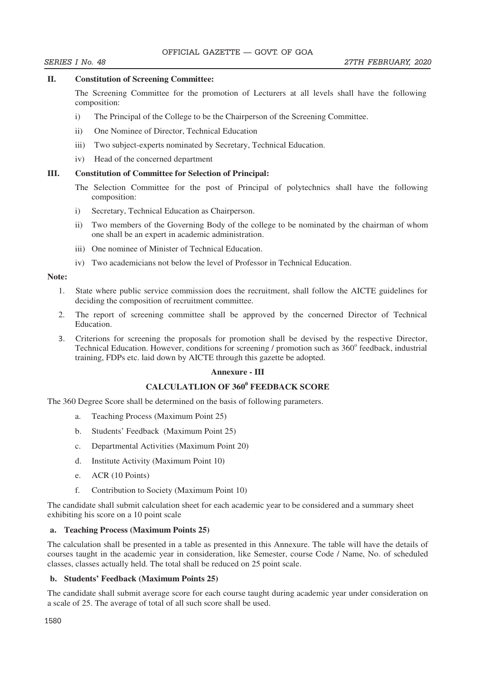### **II. Constitution of Screening Committee:**

 The Screening Committee for the promotion of Lecturers at all levels shall have the following composition:

- i) The Principal of the College to be the Chairperson of the Screening Committee.
- ii) One Nominee of Director, Technical Education
- iii) Two subject-experts nominated by Secretary, Technical Education.
- iv) Head of the concerned department

## **III. Constitution of Committee for Selection of Principal:**

- The Selection Committee for the post of Principal of polytechnics shall have the following composition:
- i) Secretary, Technical Education as Chairperson.
- ii) Two members of the Governing Body of the college to be nominated by the chairman of whom one shall be an expert in academic administration.
- iii) One nominee of Minister of Technical Education.
- iv) Two academicians not below the level of Professor in Technical Education.

## **Note:**

- 1. State where public service commission does the recruitment, shall follow the AICTE guidelines for deciding the composition of recruitment committee.
- 2. The report of screening committee shall be approved by the concerned Director of Technical Education.
- 3. Criterions for screening the proposals for promotion shall be devised by the respective Director, Technical Education. However, conditions for screening / promotion such as 360° feedback, industrial training, FDPs etc. laid down by AICTE through this gazette be adopted.

## **Annexure - III**

# **CALCULATLION OF 360<sup>0</sup> FEEDBACK SCORE**

The 360 Degree Score shall be determined on the basis of following parameters.

- a. Teaching Process (Maximum Point 25)
- b. Students' Feedback (Maximum Point 25)
- c. Departmental Activities (Maximum Point 20)
- d. Institute Activity (Maximum Point 10)
- e. ACR (10 Points)
- f. Contribution to Society (Maximum Point 10)

The candidate shall submit calculation sheet for each academic year to be considered and a summary sheet exhibiting his score on a 10 point scale

#### **a. Teaching Process (Maximum Points 25)**

The calculation shall be presented in a table as presented in this Annexure. The table will have the details of courses taught in the academic year in consideration, like Semester, course Code / Name, No. of scheduled classes, classes actually held. The total shall be reduced on 25 point scale.

## **b. Students' Feedback (Maximum Points 25)**

The candidate shall submit average score for each course taught during academic year under consideration on a scale of 25. The average of total of all such score shall be used.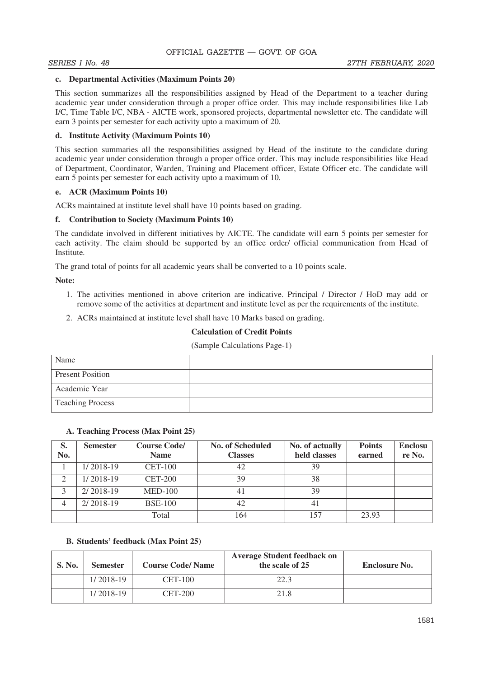### **c. Departmental Activities (Maximum Points 20)**

This section summarizes all the responsibilities assigned by Head of the Department to a teacher during academic year under consideration through a proper office order. This may include responsibilities like Lab I/C, Time Table I/C, NBA - AICTE work, sponsored projects, departmental newsletter etc. The candidate will earn 3 points per semester for each activity upto a maximum of 20.

## **d. Institute Activity (Maximum Points 10)**

This section summaries all the responsibilities assigned by Head of the institute to the candidate during academic year under consideration through a proper office order. This may include responsibilities like Head of Department, Coordinator, Warden, Training and Placement officer, Estate Officer etc. The candidate will earn 5 points per semester for each activity upto a maximum of 10.

## **e. ACR (Maximum Points 10)**

ACRs maintained at institute level shall have 10 points based on grading.

## **f. Contribution to Society (Maximum Points 10)**

The candidate involved in different initiatives by AICTE. The candidate will earn 5 points per semester for each activity. The claim should be supported by an office order/ official communication from Head of Institute.

The grand total of points for all academic years shall be converted to a 10 points scale.

**Note:** 

- 1. The activities mentioned in above criterion are indicative. Principal / Director / HoD may add or remove some of the activities at department and institute level as per the requirements of the institute.
- 2. ACRs maintained at institute level shall have 10 Marks based on grading.

## **Calculation of Credit Points**

#### (Sample Calculations Page-1)

| Name                    |  |
|-------------------------|--|
| <b>Present Position</b> |  |
| Academic Year           |  |
| <b>Teaching Process</b> |  |

#### **A. Teaching Process (Max Point 25)**

| S.<br>No. | <b>Semester</b> | <b>Course Code/</b><br><b>Name</b> | <b>No. of Scheduled</b><br><b>Classes</b> | No. of actually<br>held classes | <b>Points</b><br>earned | <b>Enclosu</b><br>re No. |
|-----------|-----------------|------------------------------------|-------------------------------------------|---------------------------------|-------------------------|--------------------------|
|           | $1/2018-19$     | $CET-100$                          | 42                                        | 39                              |                         |                          |
| 2         | $1/2018-19$     | $CET-200$                          | 39                                        | 38                              |                         |                          |
|           | $2/2018-19$     | <b>MED-100</b>                     | 4 <sup>1</sup>                            | 39                              |                         |                          |
| 4         | $2/2018-19$     | <b>BSE-100</b>                     | 42                                        | 41                              |                         |                          |
|           |                 | Total                              | 164                                       | 157                             | 23.93                   |                          |

## **B. Students' feedback (Max Point 25)**

| S. No. | <b>Semester</b> | <b>Course Code/Name</b> | <b>Average Student feedback on</b><br>the scale of 25 | <b>Enclosure No.</b> |
|--------|-----------------|-------------------------|-------------------------------------------------------|----------------------|
|        | $1/2018-19$     | $CET-100$               | 22.3                                                  |                      |
|        | $1/2018-19$     | <b>CET-200</b>          | 21.8                                                  |                      |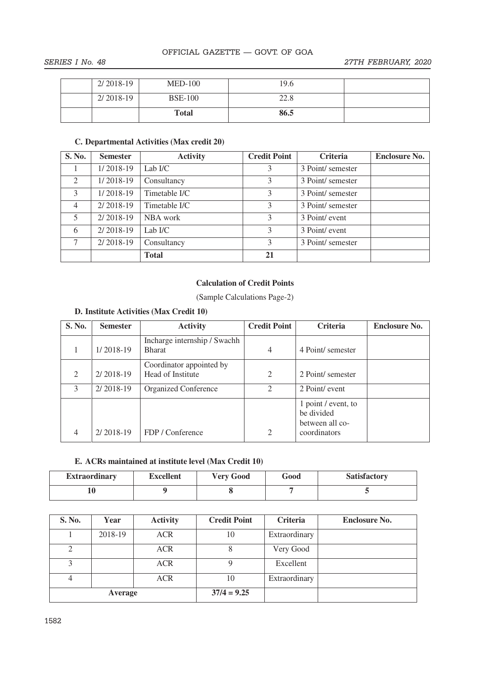|             | <b>Total</b>   | 86.5 |  |
|-------------|----------------|------|--|
| $2/2018-19$ | <b>BSE-100</b> | 22.8 |  |
| $2/2018-19$ | $MED-100$      | 19.6 |  |

# **C. Departmental Activities (Max credit 20)**

| S. No.         | <b>Semester</b> | <b>Activity</b> | <b>Credit Point</b> | <b>Criteria</b>   | <b>Enclosure No.</b> |
|----------------|-----------------|-----------------|---------------------|-------------------|----------------------|
|                | 1/2018-19       | Lab $I/C$       | 3                   | 3 Point/ semester |                      |
| 2              | $1/2018-19$     | Consultancy     | 3                   | 3 Point/ semester |                      |
| 3              | $1/2018-19$     | Timetable I/C   | 3                   | 3 Point/ semester |                      |
| $\overline{4}$ | $2/2018-19$     | Timetable I/C   | 3                   | 3 Point/ semester |                      |
| 5              | $2/2018-19$     | NBA work        | 3                   | 3 Point/ event    |                      |
| 6              | 2/2018-19       | Lab $I/C$       | 3                   | 3 Point/ event    |                      |
|                | $2/2018-19$     | Consultancy     | 3                   | 3 Point/ semester |                      |
|                |                 | <b>Total</b>    | 21                  |                   |                      |

## **Calculation of Credit Points**

(Sample Calculations Page-2)

# **D. Institute Activities (Max Credit 10)**

| S. No.         | <b>Semester</b> | <b>Activity</b>                               | <b>Credit Point</b> | Criteria                                                             | <b>Enclosure No.</b> |
|----------------|-----------------|-----------------------------------------------|---------------------|----------------------------------------------------------------------|----------------------|
|                | $1/2018-19$     | Incharge internship / Swachh<br><b>Bharat</b> | 4                   | 4 Point/ semester                                                    |                      |
| $\mathfrak{D}$ | $2/2018-19$     | Coordinator appointed by<br>Head of Institute | $\overline{2}$      | 2 Point/ semester                                                    |                      |
| 3              | $2/2018-19$     | <b>Organized Conference</b>                   | $\overline{2}$      | 2 Point/ event                                                       |                      |
| 4              | $2/2018-19$     | FDP / Conference                              | $\overline{c}$      | 1 point / event, to<br>be divided<br>between all co-<br>coordinators |                      |

## **E. ACRs maintained at institute level (Max Credit 10)**

| <b>Extraordinary</b> | <b>Excellent</b> | <b>Very Good</b> | Good | <b>Satisfactory</b> |
|----------------------|------------------|------------------|------|---------------------|
| 10                   |                  |                  |      |                     |

| S. No.  | Year    | <b>Activity</b> | <b>Credit Point</b> | Criteria      | <b>Enclosure No.</b> |
|---------|---------|-----------------|---------------------|---------------|----------------------|
|         | 2018-19 | <b>ACR</b>      | 10                  | Extraordinary |                      |
| 2       |         | <b>ACR</b>      |                     | Very Good     |                      |
|         |         | <b>ACR</b>      |                     | Excellent     |                      |
|         |         | <b>ACR</b>      | 10                  | Extraordinary |                      |
| Average |         |                 | $37/4 = 9.25$       |               |                      |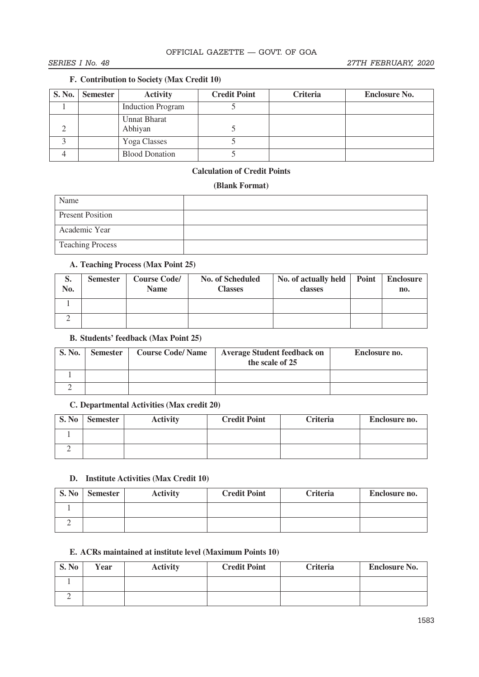# **F. Contribution to Society (Max Credit 10)**

| S. No. Semester | <b>Activity</b>                | <b>Credit Point</b> | Criteria | <b>Enclosure No.</b> |
|-----------------|--------------------------------|---------------------|----------|----------------------|
|                 | <b>Induction Program</b>       |                     |          |                      |
|                 | <b>Unnat Bharat</b><br>Abhiyan |                     |          |                      |
|                 | Yoga Classes                   |                     |          |                      |
|                 | <b>Blood Donation</b>          |                     |          |                      |

# **Calculation of Credit Points**

## **(Blank Format)**

| Name                    |  |
|-------------------------|--|
| <b>Present Position</b> |  |
| Academic Year           |  |
| <b>Teaching Process</b> |  |

# **A. Teaching Process (Max Point 25)**

| S.<br>No. | <b>Semester</b> | <b>Course Code/</b><br><b>Name</b> | <b>No. of Scheduled</b><br><b>Classes</b> | No. of actually held   Point<br>classes | <b>Enclosure</b><br>no. |
|-----------|-----------------|------------------------------------|-------------------------------------------|-----------------------------------------|-------------------------|
|           |                 |                                    |                                           |                                         |                         |
|           |                 |                                    |                                           |                                         |                         |

# **B. Students' feedback (Max Point 25)**

| S. No. | <b>Semester</b> | <b>Course Code/Name</b> | <b>Average Student feedback on</b><br>the scale of 25 | Enclosure no. |
|--------|-----------------|-------------------------|-------------------------------------------------------|---------------|
|        |                 |                         |                                                       |               |
|        |                 |                         |                                                       |               |

# **C. Departmental Activities (Max credit 20)**

| S. No | <b>Semester</b> | <b>Activity</b> | <b>Credit Point</b> | Criteria | Enclosure no. |
|-------|-----------------|-----------------|---------------------|----------|---------------|
|       |                 |                 |                     |          |               |
|       |                 |                 |                     |          |               |

# **D. Institute Activities (Max Credit 10)**

| S. No | <b>Semester</b> | <b>Activity</b> | <b>Credit Point</b> | Criteria | Enclosure no. |
|-------|-----------------|-----------------|---------------------|----------|---------------|
|       |                 |                 |                     |          |               |
|       |                 |                 |                     |          |               |

# **E. ACRs maintained at institute level (Maximum Points 10)**

| S. No | Year | <b>Activity</b> | <b>Credit Point</b> | Criteria | <b>Enclosure No.</b> |
|-------|------|-----------------|---------------------|----------|----------------------|
|       |      |                 |                     |          |                      |
|       |      |                 |                     |          |                      |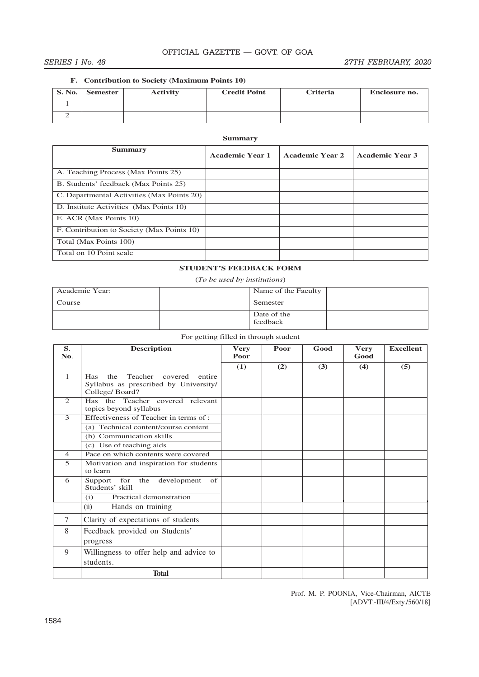## SERIES I No. 48 27TH FEBRUARY, 2020

#### **F. Contribution to Society (Maximum Points 10)**

| <b>S. No.</b> | Semester | <b>Activity</b> | <b>Credit Point</b> | <b>Criteria</b> | Enclosure no. |
|---------------|----------|-----------------|---------------------|-----------------|---------------|
|               |          |                 |                     |                 |               |
|               |          |                 |                     |                 |               |

## **Summary**

| <b>Summary</b>                             | <b>Academic Year 1</b> | <b>Academic Year 2</b> | <b>Academic Year 3</b> |
|--------------------------------------------|------------------------|------------------------|------------------------|
| A. Teaching Process (Max Points 25)        |                        |                        |                        |
| B. Students' feedback (Max Points 25)      |                        |                        |                        |
| C. Departmental Activities (Max Points 20) |                        |                        |                        |
| D. Institute Activities (Max Points 10)    |                        |                        |                        |
| E. ACR (Max Points 10)                     |                        |                        |                        |
| F. Contribution to Society (Max Points 10) |                        |                        |                        |
| Total (Max Points 100)                     |                        |                        |                        |
| Total on 10 Point scale                    |                        |                        |                        |

## **STUDENT'S FEEDBACK FORM**

(*To be used by institutions*)

| Academic Year: | Name of the Faculty     |  |
|----------------|-------------------------|--|
| Course         | Semester                |  |
|                | Date of the<br>feedback |  |

| S.<br>No.      | <b>Description</b>                                                                                        | <b>Very</b><br>Poor | Poor | Good | <b>Very</b><br>Good | <b>Excellent</b> |
|----------------|-----------------------------------------------------------------------------------------------------------|---------------------|------|------|---------------------|------------------|
|                |                                                                                                           |                     |      |      |                     |                  |
|                |                                                                                                           | (1)                 | (2)  | (3)  | (4)                 | (5)              |
| $\mathbf{1}$   | the<br>Teacher covered<br>entire<br><b>Has</b><br>Syllabus as prescribed by University/<br>College/Board? |                     |      |      |                     |                  |
| $\overline{2}$ | Has the Teacher covered relevant<br>topics beyond syllabus                                                |                     |      |      |                     |                  |
| 3              | Effectiveness of Teacher in terms of :                                                                    |                     |      |      |                     |                  |
|                | (a) Technical content/course content                                                                      |                     |      |      |                     |                  |
|                | (b) Communication skills                                                                                  |                     |      |      |                     |                  |
|                | (c) Use of teaching aids                                                                                  |                     |      |      |                     |                  |
| $\overline{4}$ | Pace on which contents were covered                                                                       |                     |      |      |                     |                  |
| 5              | Motivation and inspiration for students<br>to learn                                                       |                     |      |      |                     |                  |
| 6              | Support for the development<br>of<br>Students' skill                                                      |                     |      |      |                     |                  |
|                | Practical demonstration<br>(i)                                                                            |                     |      |      |                     |                  |
|                | (ii)<br>Hands on training                                                                                 |                     |      |      |                     |                  |
| 7              | Clarity of expectations of students                                                                       |                     |      |      |                     |                  |
| 8              | Feedback provided on Students'                                                                            |                     |      |      |                     |                  |
|                | progress                                                                                                  |                     |      |      |                     |                  |
| 9              | Willingness to offer help and advice to                                                                   |                     |      |      |                     |                  |
|                | students.                                                                                                 |                     |      |      |                     |                  |
|                | <b>Total</b>                                                                                              |                     |      |      |                     |                  |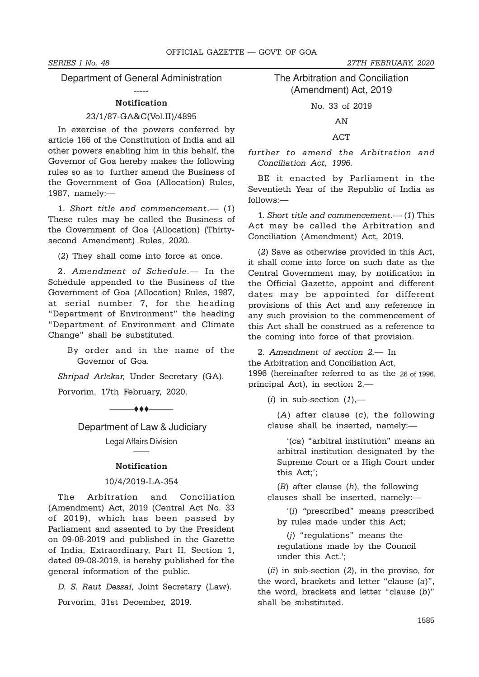Department of General Administration

## ----- Notification

#### 23/1/87-GA&C(Vol.II)/4895

In exercise of the powers conferred by article 166 of the Constitution of India and all other powers enabling him in this behalf, the Governor of Goa hereby makes the following rules so as to further amend the Business of the Government of Goa (Allocation) Rules, 1987, namely:—

1. Short title and commencement.— (1) These rules may be called the Business of the Government of Goa (Allocation) (Thirtysecond Amendment) Rules, 2020.

(2) They shall come into force at once.

2. Amendment of Schedule.— In the Schedule appended to the Business of the Government of Goa (Allocation) Rules, 1987, at serial number 7, for the heading "Department of Environment" the heading "Department of Environment and Climate Change" shall be substituted.

> By order and in the name of the Governor of Goa.

Shripad Arlekar, Under Secretary (GA).

Porvorim, 17th February, 2020.

 $\overline{\phantom{a}}$ 

Department of Law & Judiciary Legal Affairs Division

# —— Notification

## 10/4/2019-LA-354

The Arbitration and Conciliation (Amendment) Act, 2019 (Central Act No. 33 of 2019), which has been passed by Parliament and assented to by the President on 09-08-2019 and published in the Gazette of India, Extraordinary, Part II, Section 1, dated 09-08-2019, is hereby published for the general information of the public.

D. S. Raut Dessai, Joint Secretary (Law).

Porvorim, 31st December, 2019.

The Arbitration and Conciliation (Amendment) Act, 2019

No. 33 of 2019

AN

## ACT

further to amend the Arbitration and Conciliation Act, 1996.

BE it enacted by Parliament in the Seventieth Year of the Republic of India as follows:—

1. Short title and commencement.— (1) This Act may be called the Arbitration and Conciliation (Amendment) Act, 2019.

(2) Save as otherwise provided in this Act, it shall come into force on such date as the Central Government may, by notification in the Official Gazette, appoint and different dates may be appointed for different provisions of this Act and any reference in any such provision to the commencement of this Act shall be construed as a reference to the coming into force of that provision.

2. Amendment of section 2.— In the Arbitration and Conciliation Act, 1996 (hereinafter referred to as the 26 of 1996.principal Act), in section 2,—

(i) in sub-section  $(1)$ ,—

 $(A)$  after clause  $(c)$ , the following clause shall be inserted, namely:-

'(ca) "arbitral institution" means an arbitral institution designated by the Supreme Court or a High Court under this Act;';

 $(B)$  after clause  $(h)$ , the following clauses shall be inserted, namely:––

'(i) "prescribed" means prescribed by rules made under this Act;

(j) "regulations" means the regulations made by the Council under this Act.';

 $(ii)$  in sub-section  $(2)$ , in the proviso, for the word, brackets and letter "clause (a)", the word, brackets and letter "clause (b)" shall be substituted.

## SERIES I No. 48 27TH FEBRUARY, 2020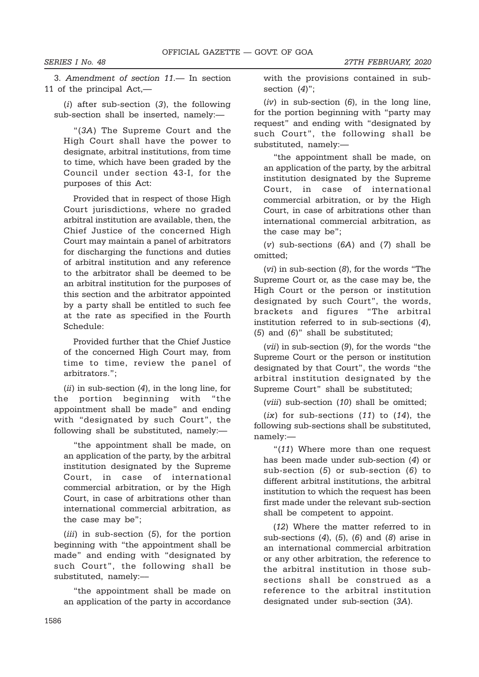SERIES I No. 48 27TH FEBRUARY, 2020

3. Amendment of section 11.— In section 11 of the principal Act,—

 $(i)$  after sub-section  $(3)$ , the following sub-section shall be inserted, namely:—

"(3A) The Supreme Court and the High Court shall have the power to designate, arbitral institutions, from time to time, which have been graded by the Council under section 43-I, for the purposes of this Act:

Provided that in respect of those High Court jurisdictions, where no graded arbitral institution are available, then, the Chief Justice of the concerned High Court may maintain a panel of arbitrators for discharging the functions and duties of arbitral institution and any reference to the arbitrator shall be deemed to be an arbitral institution for the purposes of this section and the arbitrator appointed by a party shall be entitled to such fee at the rate as specified in the Fourth Schedule:

Provided further that the Chief Justice of the concerned High Court may, from time to time, review the panel of arbitrators.";

 $(ii)$  in sub-section  $(4)$ , in the long line, for the portion beginning with "the appointment shall be made" and ending with "designated by such Court", the following shall be substituted, namely:––

"the appointment shall be made, on an application of the party, by the arbitral institution designated by the Supreme Court, in case of international commercial arbitration, or by the High Court, in case of arbitrations other than international commercial arbitration, as the case may be";

(*iii*) in sub-section (5), for the portion beginning with "the appointment shall be made" and ending with "designated by such Court", the following shall be substituted, namely:––

"the appointment shall be made on an application of the party in accordance with the provisions contained in subsection (4)";

 $(iv)$  in sub-section  $(6)$ , in the long line, for the portion beginning with "party may request" and ending with "designated by such Court", the following shall be substituted, namely:-

"the appointment shall be made, on an application of the party, by the arbitral institution designated by the Supreme Court, in case of international commercial arbitration, or by the High Court, in case of arbitrations other than international commercial arbitration, as the case may be";

(v) sub-sections (6A) and (7) shall be omitted;

(vi) in sub-section (8), for the words "The Supreme Court or, as the case may be, the High Court or the person or institution designated by such Court", the words, brackets and figures "The arbitral institution referred to in sub-sections (4), (5) and (6)" shall be substituted;

(vii) in sub-section (9), for the words "the Supreme Court or the person or institution designated by that Court", the words "the arbitral institution designated by the Supreme Court" shall be substituted;

(viii) sub-section (10) shall be omitted;

 $(ix)$  for sub-sections  $(11)$  to  $(14)$ , the following sub-sections shall be substituted, namely:—

"(11) Where more than one request has been made under sub-section (4) or sub-section (5) or sub-section (6) to different arbitral institutions, the arbitral institution to which the request has been first made under the relevant sub-section shall be competent to appoint.

(12) Where the matter referred to in sub-sections  $(4)$ ,  $(5)$ ,  $(6)$  and  $(8)$  arise in an international commercial arbitration or any other arbitration, the reference to the arbitral institution in those subsections shall be construed as a reference to the arbitral institution designated under sub-section (3A).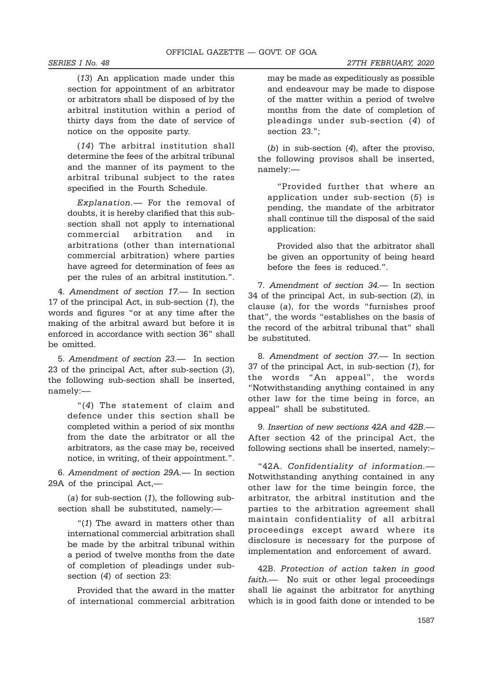(13) An application made under this section for appointment of an arbitrator or arbitrators shall be disposed of by the arbitral institution within a period of thirty days from the date of service of notice on the opposite party.

(14) The arbitral institution shall determine the fees of the arbitral tribunal and the manner of its payment to the arbitral tribunal subject to the rates specified in the Fourth Schedule.

Explanation.— For the removal of doubts, it is hereby clarified that this subsection shall not apply to international commercial arbitration and in arbitrations (other than international commercial arbitration) where parties have agreed for determination of fees as per the rules of an arbitral institution.".

4. Amendment of section 17.— In section 17 of the principal Act, in sub-section (1), the words and figures "or at any time after the making of the arbitral award but before it is enforced in accordance with section 36" shall be omitted.

5. Amendment of section 23.— In section 23 of the principal Act, after sub-section (3), the following sub-section shall be inserted, namely:––

> "(4) The statement of claim and defence under this section shall be completed within a period of six months from the date the arbitrator or all the arbitrators, as the case may be, received notice, in writing, of their appointment.".

6. Amendment of section 29A.— In section 29A of the principal Act,—

(a) for sub-section  $(1)$ , the following subsection shall be substituted, namely:—

"(1) The award in matters other than international commercial arbitration shall be made by the arbitral tribunal within a period of twelve months from the date of completion of pleadings under subsection (4) of section 23:

Provided that the award in the matter of international commercial arbitration may be made as expeditiously as possible and endeavour may be made to dispose of the matter within a period of twelve months from the date of completion of pleadings under sub-section (4) of section 23.";

(b) in sub-section (4), after the proviso, the following provisos shall be inserted, namely:—

"Provided further that where an application under sub-section (5) is pending, the mandate of the arbitrator shall continue till the disposal of the said application:

Provided also that the arbitrator shall be given an opportunity of being heard before the fees is reduced.".

7. Amendment of section 34.— In section 34 of the principal Act, in sub-section (2), in clause (a), for the words "furnishes proof that", the words "establishes on the basis of the record of the arbitral tribunal that" shall be substituted.

8. Amendment of section 37.— In section 37 of the principal Act, in sub-section (1), for the words "An appeal", the words "Notwithstanding anything contained in any other law for the time being in force, an appeal" shall be substituted.

9. Insertion of new sections 42A and 42B.— After section 42 of the principal Act, the following sections shall be inserted, namely:–

"42A. Confidentiality of information.— Notwithstanding anything contained in any other law for the time beingin force, the arbitrator, the arbitral institution and the parties to the arbitration agreement shall maintain confidentiality of all arbitral proceedings except award where its disclosure is necessary for the purpose of implementation and enforcement of award.

42B. Protection of action taken in good faith.— No suit or other legal proceedings shall lie against the arbitrator for anything which is in good faith done or intended to be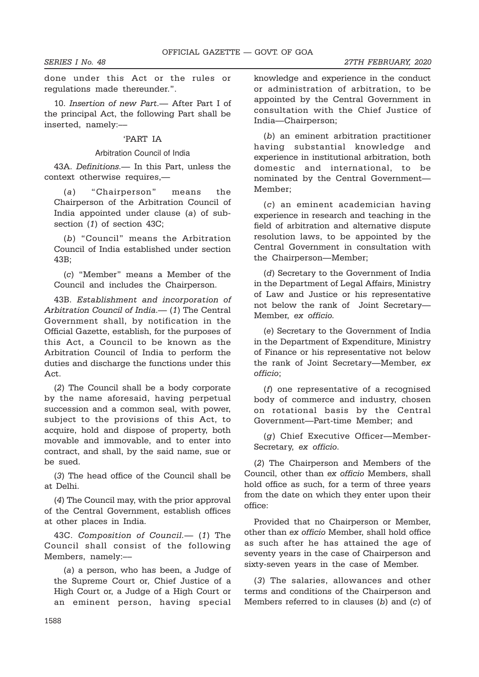done under this Act or the rules or regulations made thereunder.".

10. Insertion of new Part.— After Part I of the principal Act, the following Part shall be inserted, namely:––

# 'PART IA

## Arbitration Council of India

43A. Definitions.— In this Part, unless the context otherwise requires,—

(a) "Chairperson" means the Chairperson of the Arbitration Council of India appointed under clause (a) of subsection (1) of section 43C;

(b) "Council" means the Arbitration Council of India established under section 43B;

(c) "Member" means a Member of the Council and includes the Chairperson.

43B. Establishment and incorporation of Arbitration Council of India.— (1) The Central Government shall, by notification in the Official Gazette, establish, for the purposes of this Act, a Council to be known as the Arbitration Council of India to perform the duties and discharge the functions under this Act.

(2) The Council shall be a body corporate by the name aforesaid, having perpetual succession and a common seal, with power, subject to the provisions of this Act, to acquire, hold and dispose of property, both movable and immovable, and to enter into contract, and shall, by the said name, sue or be sued.

(3) The head office of the Council shall be at Delhi.

(4) The Council may, with the prior approval of the Central Government, establish offices at other places in India.

43C. Composition of Council.— (1) The Council shall consist of the following Members, namely:––

(a) a person, who has been, a Judge of the Supreme Court or, Chief Justice of a High Court or, a Judge of a High Court or an eminent person, having special

knowledge and experience in the conduct or administration of arbitration, to be appointed by the Central Government in consultation with the Chief Justice of India—Chairperson;

(b) an eminent arbitration practitioner having substantial knowledge and experience in institutional arbitration, both domestic and international, to be nominated by the Central Government— Member;

(c) an eminent academician having experience in research and teaching in the field of arbitration and alternative dispute resolution laws, to be appointed by the Central Government in consultation with the Chairperson—Member;

(d) Secretary to the Government of India in the Department of Legal Affairs, Ministry of Law and Justice or his representative not below the rank of Joint Secretary— Member, ex officio.

(e) Secretary to the Government of India in the Department of Expenditure, Ministry of Finance or his representative not below the rank of Joint Secretary—Member, ex officio;

(f) one representative of a recognised body of commerce and industry, chosen on rotational basis by the Central Government—Part-time Member; and

(g) Chief Executive Officer—Member-Secretary, ex officio.

(2) The Chairperson and Members of the Council, other than ex officio Members, shall hold office as such, for a term of three years from the date on which they enter upon their office:

Provided that no Chairperson or Member, other than ex officio Member, shall hold office as such after he has attained the age of seventy years in the case of Chairperson and sixty-seven years in the case of Member.

(3) The salaries, allowances and other terms and conditions of the Chairperson and Members referred to in clauses  $(b)$  and  $(c)$  of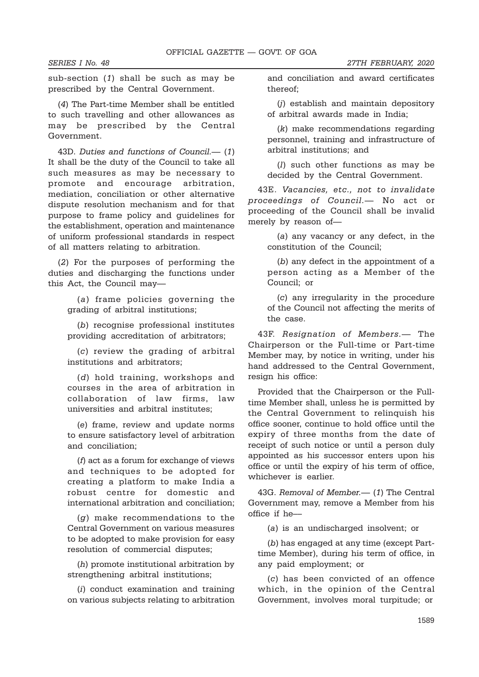SERIES I No. 48 27TH FEBRUARY, 2020

sub-section (1) shall be such as may be prescribed by the Central Government.

(4) The Part-time Member shall be entitled to such travelling and other allowances as may be prescribed by the Central Government.

43D. Duties and functions of Council.— (1) It shall be the duty of the Council to take all such measures as may be necessary to promote and encourage arbitration, mediation, conciliation or other alternative dispute resolution mechanism and for that purpose to frame policy and guidelines for the establishment, operation and maintenance of uniform professional standards in respect of all matters relating to arbitration.

(2) For the purposes of performing the duties and discharging the functions under this Act, the Council may—

> (a) frame policies governing the grading of arbitral institutions;

> (b) recognise professional institutes providing accreditation of arbitrators;

> (c) review the grading of arbitral institutions and arbitrators;

> (d) hold training, workshops and courses in the area of arbitration in collaboration of law firms, law universities and arbitral institutes;

> (e) frame, review and update norms to ensure satisfactory level of arbitration and conciliation;

> (f) act as a forum for exchange of views and techniques to be adopted for creating a platform to make India a robust centre for domestic and international arbitration and conciliation;

> $(a)$  make recommendations to the Central Government on various measures to be adopted to make provision for easy resolution of commercial disputes;

> (h) promote institutional arbitration by strengthening arbitral institutions;

> (i) conduct examination and training on various subjects relating to arbitration

and conciliation and award certificates thereof;

(j) establish and maintain depository of arbitral awards made in India;

(k) make recommendations regarding personnel, training and infrastructure of arbitral institutions; and

(l) such other functions as may be decided by the Central Government.

43E. Vacancies, etc., not to invalidate proceedings of Council.— No act or proceeding of the Council shall be invalid merely by reason of—

> (a) any vacancy or any defect, in the constitution of the Council;

> (b) any defect in the appointment of a person acting as a Member of the Council; or

> (c) any irregularity in the procedure of the Council not affecting the merits of the case.

43F. Resignation of Members.— The Chairperson or the Full-time or Part-time Member may, by notice in writing, under his hand addressed to the Central Government, resign his office:

Provided that the Chairperson or the Fulltime Member shall, unless he is permitted by the Central Government to relinquish his office sooner, continue to hold office until the expiry of three months from the date of receipt of such notice or until a person duly appointed as his successor enters upon his office or until the expiry of his term of office, whichever is earlier.

43G. Removal of Member.— (1) The Central Government may, remove a Member from his office if he––

(a) is an undischarged insolvent; or

(b) has engaged at any time (except Parttime Member), during his term of office, in any paid employment; or

(c) has been convicted of an offence which, in the opinion of the Central Government, involves moral turpitude; or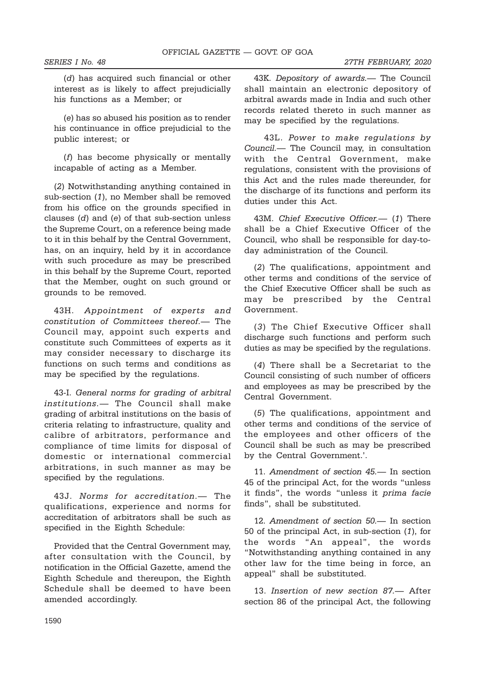SERIES I No. 48 27TH FEBRUARY, 2020

(d) has acquired such financial or other interest as is likely to affect prejudicially his functions as a Member; or

(e) has so abused his position as to render his continuance in office prejudicial to the public interest; or

(f) has become physically or mentally incapable of acting as a Member.

(2) Notwithstanding anything contained in sub-section (1), no Member shall be removed from his office on the grounds specified in clauses (d) and (e) of that sub-section unless the Supreme Court, on a reference being made to it in this behalf by the Central Government, has, on an inquiry, held by it in accordance with such procedure as may be prescribed in this behalf by the Supreme Court, reported that the Member, ought on such ground or grounds to be removed.

43H. Appointment of experts and constitution of Committees thereof.— The Council may, appoint such experts and constitute such Committees of experts as it may consider necessary to discharge its functions on such terms and conditions as may be specified by the regulations.

43-I. General norms for grading of arbitral institutions.— The Council shall make grading of arbitral institutions on the basis of criteria relating to infrastructure, quality and calibre of arbitrators, performance and compliance of time limits for disposal of domestic or international commercial arbitrations, in such manner as may be specified by the regulations.

43J. Norms for accreditation.— The qualifications, experience and norms for accreditation of arbitrators shall be such as specified in the Eighth Schedule:

Provided that the Central Government may, after consultation with the Council, by notification in the Official Gazette, amend the Eighth Schedule and thereupon, the Eighth Schedule shall be deemed to have been amended accordingly.

43K. Depository of awards.— The Council shall maintain an electronic depository of arbitral awards made in India and such other records related thereto in such manner as may be specified by the regulations.

 43L. Power to make regulations by Council.— The Council may, in consultation with the Central Government, make regulations, consistent with the provisions of this Act and the rules made thereunder, for the discharge of its functions and perform its duties under this Act.

43M. Chief Executive Officer. (1) There shall be a Chief Executive Officer of the Council, who shall be responsible for day-today administration of the Council.

(2) The qualifications, appointment and other terms and conditions of the service of the Chief Executive Officer shall be such as may be prescribed by the Central Government.

(3) The Chief Executive Officer shall discharge such functions and perform such duties as may be specified by the regulations.

(4) There shall be a Secretariat to the Council consisting of such number of officers and employees as may be prescribed by the Central Government.

(5) The qualifications, appointment and other terms and conditions of the service of the employees and other officers of the Council shall be such as may be prescribed by the Central Government.'.

11. Amendment of section 45.— In section 45 of the principal Act, for the words "unless it finds", the words "unless it prima facie finds", shall be substituted.

12. Amendment of section 50.— In section 50 of the principal Act, in sub-section (1), for the words "An appeal", the words "Notwithstanding anything contained in any other law for the time being in force, an appeal" shall be substituted.

13. Insertion of new section 87.— After section 86 of the principal Act, the following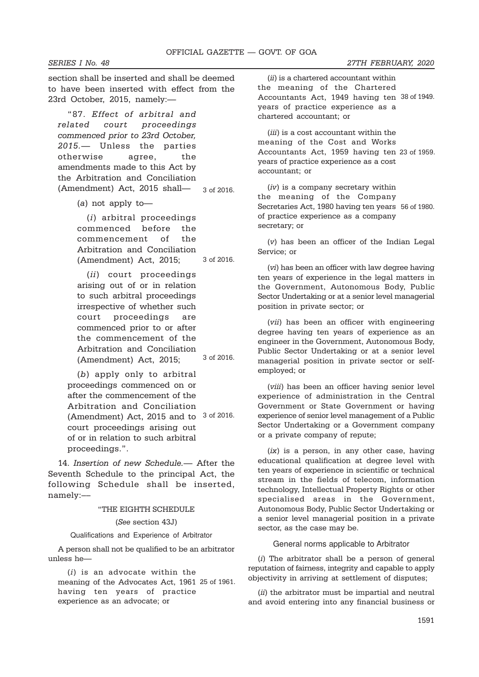section shall be inserted and shall be deemed to have been inserted with effect from the 23rd October, 2015, namely:—

"87. Effect of arbitral and related court proceedings commenced prior to 23rd October, 2015.— Unless the parties otherwise agree, the amendments made to this Act by the Arbitration and Conciliation (Amendment) Act, 2015 shall— 3 of 2016.

(a) not apply to––

(i) arbitral proceedings commenced before the commencement of the Arbitration and Conciliation (Amendment) Act, 2015; 3 of 2016.

(ii) court proceedings arising out of or in relation to such arbitral proceedings irrespective of whether such court proceedings are commenced prior to or after the commencement of the Arbitration and Conciliation (Amendment) Act, 2015; 3 of 2016.

(b) apply only to arbitral proceedings commenced on or after the commencement of the Arbitration and Conciliation (Amendment) Act, 2015 and to  $3$  of 2016. court proceedings arising out of or in relation to such arbitral proceedings.".

14. Insertion of new Schedule.— After the Seventh Schedule to the principal Act, the following Schedule shall be inserted, namely:––

#### "THE EIGHTH SCHEDULE

(See section 43J)

## Qualifications and Experience of Arbitrator

A person shall not be qualified to be an arbitrator unless he—

(i) is an advocate within the meaning of the Advocates Act, 1961 25 of 1961. having ten years of practice experience as an advocate; or

(ii) is a chartered accountant within the meaning of the Chartered Accountants Act, 1949 having ten 38 of 1949. years of practice experience as a chartered accountant; or

(*iii*) is a cost accountant within the meaning of the Cost and Works Accountants Act, 1959 having ten 23 of 1959.years of practice experience as a cost accountant; or

(iv) is a company secretary within the meaning of the Company Secretaries Act, 1980 having ten years 56 of 1980. of practice experience as a company secretary; or

(v) has been an officer of the Indian Legal Service; or

(vi) has been an officer with law degree having ten years of experience in the legal matters in the Government, Autonomous Body, Public Sector Undertaking or at a senior level managerial position in private sector; or

(vii) has been an officer with engineering degree having ten years of experience as an engineer in the Government, Autonomous Body, Public Sector Undertaking or at a senior level managerial position in private sector or selfemployed; or

(viii) has been an officer having senior level experience of administration in the Central Government or State Government or having experience of senior level management of a Public Sector Undertaking or a Government company or a private company of repute;

 $(ix)$  is a person, in any other case, having educational qualification at degree level with ten years of experience in scientific or technical stream in the fields of telecom, information technology, Intellectual Property Rights or other specialised areas in the Government, Autonomous Body, Public Sector Undertaking or a senior level managerial position in a private sector, as the case may be.

General norms applicable to Arbitrator

(i) The arbitrator shall be a person of general reputation of fairness, integrity and capable to apply objectivity in arriving at settlement of disputes;

(ii) the arbitrator must be impartial and neutral and avoid entering into any financial business or